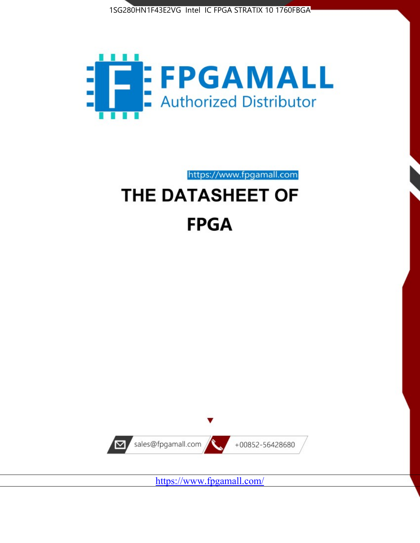



https://www.fpgamall.com

# THE DATASHEET OF **FPGA**



<https://www.fpgamall.com/>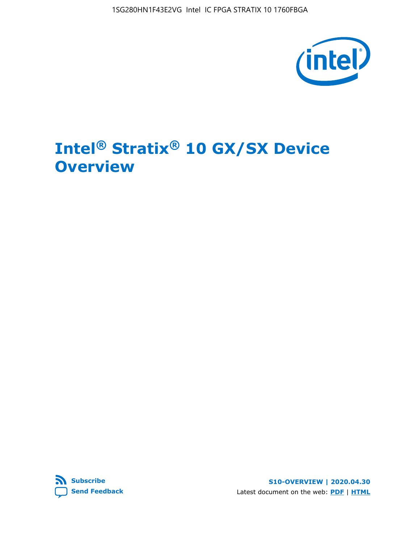

# **Intel® Stratix® 10 GX/SX Device Overview**



**S10-OVERVIEW | 2020.04.30** Latest document on the web: **[PDF](https://www.intel.com/content/dam/www/programmable/us/en/pdfs/literature/hb/stratix-10/s10-overview.pdf)** | **[HTML](https://www.intel.com/content/www/us/en/programmable/documentation/joc1442261161666.html)**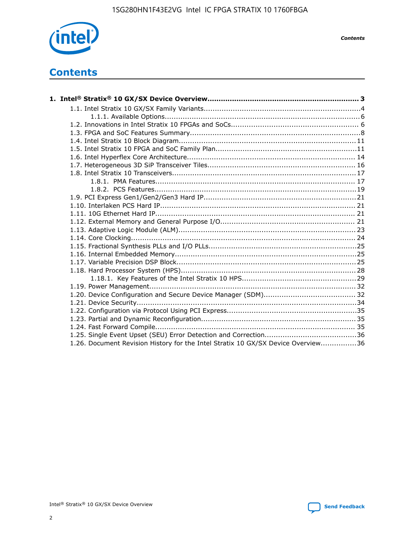

*Contents*

# **Contents**

| 1.26. Document Revision History for the Intel Stratix 10 GX/SX Device Overview36 |  |
|----------------------------------------------------------------------------------|--|

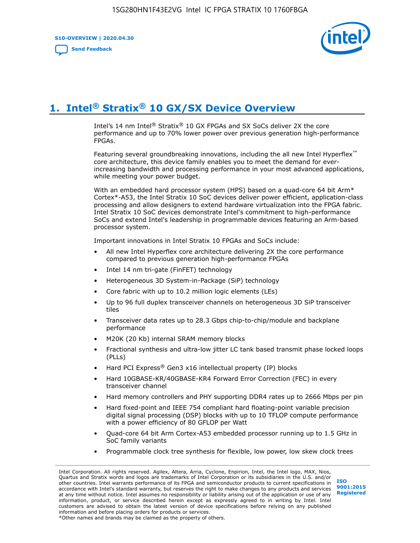**S10-OVERVIEW | 2020.04.30**

**[Send Feedback](mailto:FPGAtechdocfeedback@intel.com?subject=Feedback%20on%20Intel%20Stratix%2010%20GX/SX%20Device%20Overview%20(S10-OVERVIEW%202020.04.30)&body=We%20appreciate%20your%20feedback.%20In%20your%20comments,%20also%20specify%20the%20page%20number%20or%20paragraph.%20Thank%20you.)**



# **1. Intel® Stratix® 10 GX/SX Device Overview**

Intel's 14 nm Intel® Stratix® 10 GX FPGAs and SX SoCs deliver 2X the core performance and up to 70% lower power over previous generation high-performance FPGAs.

Featuring several groundbreaking innovations, including the all new Intel Hyperflex™ core architecture, this device family enables you to meet the demand for everincreasing bandwidth and processing performance in your most advanced applications, while meeting your power budget.

With an embedded hard processor system (HPS) based on a quad-core 64 bit Arm\* Cortex\*-A53, the Intel Stratix 10 SoC devices deliver power efficient, application-class processing and allow designers to extend hardware virtualization into the FPGA fabric. Intel Stratix 10 SoC devices demonstrate Intel's commitment to high-performance SoCs and extend Intel's leadership in programmable devices featuring an Arm-based processor system.

Important innovations in Intel Stratix 10 FPGAs and SoCs include:

- All new Intel Hyperflex core architecture delivering 2X the core performance compared to previous generation high-performance FPGAs
- Intel 14 nm tri-gate (FinFET) technology
- Heterogeneous 3D System-in-Package (SiP) technology
- Core fabric with up to 10.2 million logic elements (LEs)
- Up to 96 full duplex transceiver channels on heterogeneous 3D SiP transceiver tiles
- Transceiver data rates up to 28.3 Gbps chip-to-chip/module and backplane performance
- M20K (20 Kb) internal SRAM memory blocks
- Fractional synthesis and ultra-low jitter LC tank based transmit phase locked loops (PLLs)
- Hard PCI Express<sup>®</sup> Gen3 x16 intellectual property (IP) blocks
- Hard 10GBASE-KR/40GBASE-KR4 Forward Error Correction (FEC) in every transceiver channel
- Hard memory controllers and PHY supporting DDR4 rates up to 2666 Mbps per pin
- Hard fixed-point and IEEE 754 compliant hard floating-point variable precision digital signal processing (DSP) blocks with up to 10 TFLOP compute performance with a power efficiency of 80 GFLOP per Watt
- Quad-core 64 bit Arm Cortex-A53 embedded processor running up to 1.5 GHz in SoC family variants
- Programmable clock tree synthesis for flexible, low power, low skew clock trees

Intel Corporation. All rights reserved. Agilex, Altera, Arria, Cyclone, Enpirion, Intel, the Intel logo, MAX, Nios, Quartus and Stratix words and logos are trademarks of Intel Corporation or its subsidiaries in the U.S. and/or other countries. Intel warrants performance of its FPGA and semiconductor products to current specifications in accordance with Intel's standard warranty, but reserves the right to make changes to any products and services at any time without notice. Intel assumes no responsibility or liability arising out of the application or use of any information, product, or service described herein except as expressly agreed to in writing by Intel. Intel customers are advised to obtain the latest version of device specifications before relying on any published information and before placing orders for products or services. \*Other names and brands may be claimed as the property of others.

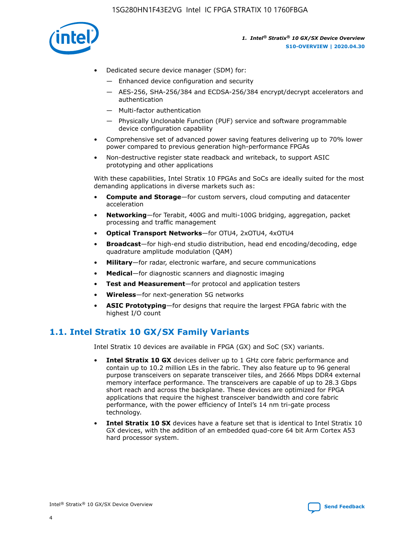

- Dedicated secure device manager (SDM) for:
	- Enhanced device configuration and security
	- AES-256, SHA-256/384 and ECDSA-256/384 encrypt/decrypt accelerators and authentication
	- Multi-factor authentication
	- Physically Unclonable Function (PUF) service and software programmable device configuration capability
- Comprehensive set of advanced power saving features delivering up to 70% lower power compared to previous generation high-performance FPGAs
- Non-destructive register state readback and writeback, to support ASIC prototyping and other applications

With these capabilities, Intel Stratix 10 FPGAs and SoCs are ideally suited for the most demanding applications in diverse markets such as:

- **Compute and Storage**—for custom servers, cloud computing and datacenter acceleration
- **Networking**—for Terabit, 400G and multi-100G bridging, aggregation, packet processing and traffic management
- **Optical Transport Networks**—for OTU4, 2xOTU4, 4xOTU4
- **Broadcast**—for high-end studio distribution, head end encoding/decoding, edge quadrature amplitude modulation (QAM)
- **Military**—for radar, electronic warfare, and secure communications
- **Medical**—for diagnostic scanners and diagnostic imaging
- **Test and Measurement**—for protocol and application testers
- **Wireless**—for next-generation 5G networks
- **ASIC Prototyping**—for designs that require the largest FPGA fabric with the highest I/O count

## **1.1. Intel Stratix 10 GX/SX Family Variants**

Intel Stratix 10 devices are available in FPGA (GX) and SoC (SX) variants.

- **Intel Stratix 10 GX** devices deliver up to 1 GHz core fabric performance and contain up to 10.2 million LEs in the fabric. They also feature up to 96 general purpose transceivers on separate transceiver tiles, and 2666 Mbps DDR4 external memory interface performance. The transceivers are capable of up to 28.3 Gbps short reach and across the backplane. These devices are optimized for FPGA applications that require the highest transceiver bandwidth and core fabric performance, with the power efficiency of Intel's 14 nm tri-gate process technology.
- **Intel Stratix 10 SX** devices have a feature set that is identical to Intel Stratix 10 GX devices, with the addition of an embedded quad-core 64 bit Arm Cortex A53 hard processor system.

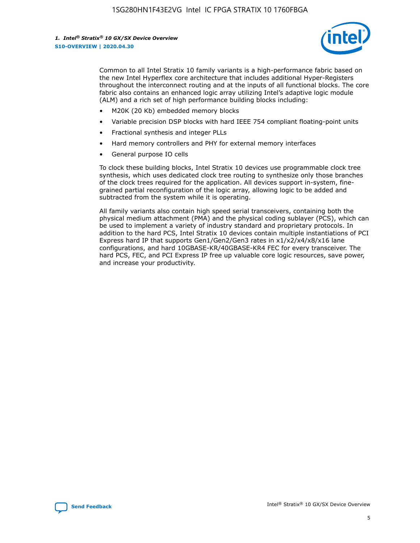

Common to all Intel Stratix 10 family variants is a high-performance fabric based on the new Intel Hyperflex core architecture that includes additional Hyper-Registers throughout the interconnect routing and at the inputs of all functional blocks. The core fabric also contains an enhanced logic array utilizing Intel's adaptive logic module (ALM) and a rich set of high performance building blocks including:

- M20K (20 Kb) embedded memory blocks
- Variable precision DSP blocks with hard IEEE 754 compliant floating-point units
- Fractional synthesis and integer PLLs
- Hard memory controllers and PHY for external memory interfaces
- General purpose IO cells

To clock these building blocks, Intel Stratix 10 devices use programmable clock tree synthesis, which uses dedicated clock tree routing to synthesize only those branches of the clock trees required for the application. All devices support in-system, finegrained partial reconfiguration of the logic array, allowing logic to be added and subtracted from the system while it is operating.

All family variants also contain high speed serial transceivers, containing both the physical medium attachment (PMA) and the physical coding sublayer (PCS), which can be used to implement a variety of industry standard and proprietary protocols. In addition to the hard PCS, Intel Stratix 10 devices contain multiple instantiations of PCI Express hard IP that supports Gen1/Gen2/Gen3 rates in x1/x2/x4/x8/x16 lane configurations, and hard 10GBASE-KR/40GBASE-KR4 FEC for every transceiver. The hard PCS, FEC, and PCI Express IP free up valuable core logic resources, save power, and increase your productivity.

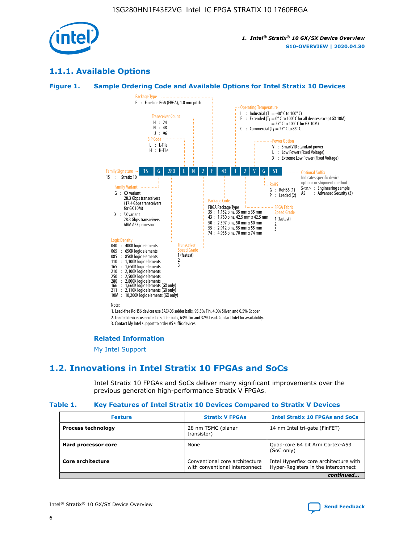

## **1.1.1. Available Options**

### **Figure 1. Sample Ordering Code and Available Options for Intel Stratix 10 Devices**



## **Related Information**

[My Intel Support](https://www.intel.com/content/www/us/en/programmable/my-intel/mal-home.html)

## **1.2. Innovations in Intel Stratix 10 FPGAs and SoCs**

Intel Stratix 10 FPGAs and SoCs deliver many significant improvements over the previous generation high-performance Stratix V FPGAs.

#### **Table 1. Key Features of Intel Stratix 10 Devices Compared to Stratix V Devices**

| <b>Feature</b>            | <b>Stratix V FPGAs</b>                                           | <b>Intel Stratix 10 FPGAs and SoCs</b>                                        |  |
|---------------------------|------------------------------------------------------------------|-------------------------------------------------------------------------------|--|
| <b>Process technology</b> | 28 nm TSMC (planar<br>transistor)                                | 14 nm Intel tri-gate (FinFET)                                                 |  |
| Hard processor core       | None                                                             | Quad-core 64 bit Arm Cortex-A53<br>(SoC only)                                 |  |
| Core architecture         | Conventional core architecture<br>with conventional interconnect | Intel Hyperflex core architecture with<br>Hyper-Registers in the interconnect |  |
|                           |                                                                  | continued                                                                     |  |

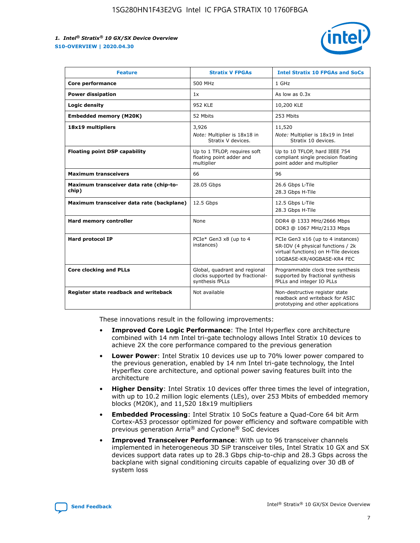

| <b>Feature</b>                                   | <b>Stratix V FPGAs</b>                                                              | <b>Intel Stratix 10 FPGAs and SoCs</b>                                                                                                       |
|--------------------------------------------------|-------------------------------------------------------------------------------------|----------------------------------------------------------------------------------------------------------------------------------------------|
| Core performance                                 | 500 MHz                                                                             | 1 GHz                                                                                                                                        |
| <b>Power dissipation</b>                         | 1x                                                                                  | As low as $0.3x$                                                                                                                             |
| Logic density                                    | 952 KLE                                                                             | 10,200 KLE                                                                                                                                   |
| <b>Embedded memory (M20K)</b>                    | 52 Mbits                                                                            | 253 Mbits                                                                                                                                    |
| 18x19 multipliers                                | 3,926                                                                               | 11,520                                                                                                                                       |
|                                                  | Note: Multiplier is 18x18 in<br>Stratix V devices.                                  | Note: Multiplier is 18x19 in Intel<br>Stratix 10 devices.                                                                                    |
| <b>Floating point DSP capability</b>             | Up to 1 TFLOP, requires soft<br>floating point adder and<br>multiplier              | Up to 10 TFLOP, hard IEEE 754<br>compliant single precision floating<br>point adder and multiplier                                           |
| <b>Maximum transceivers</b>                      | 66                                                                                  | 96                                                                                                                                           |
| Maximum transceiver data rate (chip-to-<br>chip) | 28.05 Gbps                                                                          | 26.6 Gbps L-Tile<br>28.3 Gbps H-Tile                                                                                                         |
| Maximum transceiver data rate (backplane)        | 12.5 Gbps                                                                           | 12.5 Gbps L-Tile<br>28.3 Gbps H-Tile                                                                                                         |
| Hard memory controller                           | None                                                                                | DDR4 @ 1333 MHz/2666 Mbps<br>DDR3 @ 1067 MHz/2133 Mbps                                                                                       |
| <b>Hard protocol IP</b>                          | PCIe* Gen3 x8 (up to 4<br>instances)                                                | PCIe Gen3 x16 (up to 4 instances)<br>SR-IOV (4 physical functions / 2k<br>virtual functions) on H-Tile devices<br>10GBASE-KR/40GBASE-KR4 FEC |
| <b>Core clocking and PLLs</b>                    | Global, quadrant and regional<br>clocks supported by fractional-<br>synthesis fPLLs | Programmable clock tree synthesis<br>supported by fractional synthesis<br>fPLLs and integer IO PLLs                                          |
| Register state readback and writeback            | Not available                                                                       | Non-destructive register state<br>readback and writeback for ASIC<br>prototyping and other applications                                      |

These innovations result in the following improvements:

- **Improved Core Logic Performance**: The Intel Hyperflex core architecture combined with 14 nm Intel tri-gate technology allows Intel Stratix 10 devices to achieve 2X the core performance compared to the previous generation
- **Lower Power**: Intel Stratix 10 devices use up to 70% lower power compared to the previous generation, enabled by 14 nm Intel tri-gate technology, the Intel Hyperflex core architecture, and optional power saving features built into the architecture
- **Higher Density**: Intel Stratix 10 devices offer three times the level of integration, with up to 10.2 million logic elements (LEs), over 253 Mbits of embedded memory blocks (M20K), and 11,520 18x19 multipliers
- **Embedded Processing**: Intel Stratix 10 SoCs feature a Quad-Core 64 bit Arm Cortex-A53 processor optimized for power efficiency and software compatible with previous generation Arria® and Cyclone® SoC devices
- **Improved Transceiver Performance**: With up to 96 transceiver channels implemented in heterogeneous 3D SiP transceiver tiles, Intel Stratix 10 GX and SX devices support data rates up to 28.3 Gbps chip-to-chip and 28.3 Gbps across the backplane with signal conditioning circuits capable of equalizing over 30 dB of system loss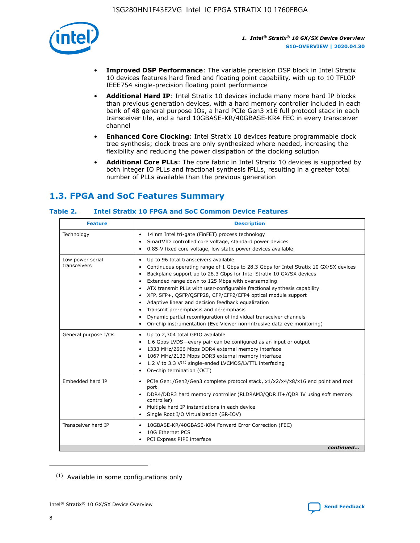

- **Improved DSP Performance**: The variable precision DSP block in Intel Stratix 10 devices features hard fixed and floating point capability, with up to 10 TFLOP IEEE754 single-precision floating point performance
- **Additional Hard IP**: Intel Stratix 10 devices include many more hard IP blocks than previous generation devices, with a hard memory controller included in each bank of 48 general purpose IOs, a hard PCIe Gen3 x16 full protocol stack in each transceiver tile, and a hard 10GBASE-KR/40GBASE-KR4 FEC in every transceiver channel
- **Enhanced Core Clocking**: Intel Stratix 10 devices feature programmable clock tree synthesis; clock trees are only synthesized where needed, increasing the flexibility and reducing the power dissipation of the clocking solution
- **Additional Core PLLs**: The core fabric in Intel Stratix 10 devices is supported by both integer IO PLLs and fractional synthesis fPLLs, resulting in a greater total number of PLLs available than the previous generation

# **1.3. FPGA and SoC Features Summary**

## **Table 2. Intel Stratix 10 FPGA and SoC Common Device Features**

| <b>Feature</b>                   | <b>Description</b>                                                                                                                                                                                                                                                                                                                                                                                                                                                                                                                                                                                                                                                                                                                      |
|----------------------------------|-----------------------------------------------------------------------------------------------------------------------------------------------------------------------------------------------------------------------------------------------------------------------------------------------------------------------------------------------------------------------------------------------------------------------------------------------------------------------------------------------------------------------------------------------------------------------------------------------------------------------------------------------------------------------------------------------------------------------------------------|
| Technology                       | 14 nm Intel tri-gate (FinFET) process technology<br>٠<br>SmartVID controlled core voltage, standard power devices<br>0.85-V fixed core voltage, low static power devices available                                                                                                                                                                                                                                                                                                                                                                                                                                                                                                                                                      |
| Low power serial<br>transceivers | Up to 96 total transceivers available<br>$\bullet$<br>Continuous operating range of 1 Gbps to 28.3 Gbps for Intel Stratix 10 GX/SX devices<br>$\bullet$<br>Backplane support up to 28.3 Gbps for Intel Stratix 10 GX/SX devices<br>$\bullet$<br>Extended range down to 125 Mbps with oversampling<br>$\bullet$<br>ATX transmit PLLs with user-configurable fractional synthesis capability<br>$\bullet$<br>• XFP, SFP+, QSFP/QSFP28, CFP/CFP2/CFP4 optical module support<br>• Adaptive linear and decision feedback equalization<br>Transmit pre-emphasis and de-emphasis<br>Dynamic partial reconfiguration of individual transceiver channels<br>$\bullet$<br>On-chip instrumentation (Eye Viewer non-intrusive data eye monitoring) |
| General purpose I/Os             | Up to 2,304 total GPIO available<br>$\bullet$<br>1.6 Gbps LVDS-every pair can be configured as an input or output<br>1333 MHz/2666 Mbps DDR4 external memory interface<br>1067 MHz/2133 Mbps DDR3 external memory interface<br>• 1.2 V to 3.3 $V^{(1)}$ single-ended LVCMOS/LVTTL interfacing<br>On-chip termination (OCT)<br>$\bullet$                                                                                                                                                                                                                                                                                                                                                                                                 |
| Embedded hard IP                 | PCIe Gen1/Gen2/Gen3 complete protocol stack, $x1/x2/x4/x8/x16$ end point and root<br>$\bullet$<br>port<br>DDR4/DDR3 hard memory controller (RLDRAM3/QDR II+/QDR IV using soft memory<br>controller)<br>• Multiple hard IP instantiations in each device<br>• Single Root I/O Virtualization (SR-IOV)                                                                                                                                                                                                                                                                                                                                                                                                                                    |
| Transceiver hard IP              | 10GBASE-KR/40GBASE-KR4 Forward Error Correction (FEC)<br>$\bullet$<br>10G Ethernet PCS<br>$\bullet$<br>PCI Express PIPE interface<br>$\bullet$<br>continued                                                                                                                                                                                                                                                                                                                                                                                                                                                                                                                                                                             |

<sup>(1)</sup> Available in some configurations only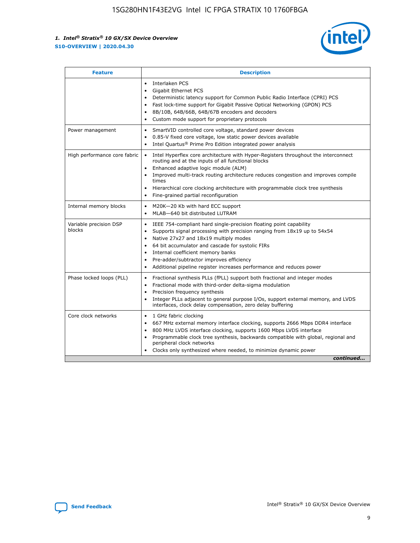

| <b>Feature</b>                   | <b>Description</b>                                                                                                                                                                                                                                                                                                                                                                                                                                                    |  |  |  |
|----------------------------------|-----------------------------------------------------------------------------------------------------------------------------------------------------------------------------------------------------------------------------------------------------------------------------------------------------------------------------------------------------------------------------------------------------------------------------------------------------------------------|--|--|--|
|                                  | Interlaken PCS<br>$\bullet$<br>Gigabit Ethernet PCS<br>$\bullet$<br>Deterministic latency support for Common Public Radio Interface (CPRI) PCS<br>$\bullet$<br>Fast lock-time support for Gigabit Passive Optical Networking (GPON) PCS<br>$\bullet$<br>8B/10B, 64B/66B, 64B/67B encoders and decoders<br>$\bullet$<br>Custom mode support for proprietary protocols<br>$\bullet$                                                                                     |  |  |  |
| Power management                 | SmartVID controlled core voltage, standard power devices<br>$\bullet$<br>0.85-V fixed core voltage, low static power devices available<br>$\bullet$<br>Intel Quartus <sup>®</sup> Prime Pro Edition integrated power analysis<br>$\bullet$                                                                                                                                                                                                                            |  |  |  |
| High performance core fabric     | Intel Hyperflex core architecture with Hyper-Registers throughout the interconnect<br>$\bullet$<br>routing and at the inputs of all functional blocks<br>Enhanced adaptive logic module (ALM)<br>$\bullet$<br>Improved multi-track routing architecture reduces congestion and improves compile<br>times<br>Hierarchical core clocking architecture with programmable clock tree synthesis<br>Fine-grained partial reconfiguration                                    |  |  |  |
| Internal memory blocks           | M20K-20 Kb with hard ECC support<br>٠<br>MLAB-640 bit distributed LUTRAM<br>$\bullet$                                                                                                                                                                                                                                                                                                                                                                                 |  |  |  |
| Variable precision DSP<br>blocks | IEEE 754-compliant hard single-precision floating point capability<br>$\bullet$<br>Supports signal processing with precision ranging from 18x19 up to 54x54<br>$\bullet$<br>Native 27x27 and 18x19 multiply modes<br>$\bullet$<br>64 bit accumulator and cascade for systolic FIRs<br>Internal coefficient memory banks<br>Pre-adder/subtractor improves efficiency<br>$\bullet$<br>Additional pipeline register increases performance and reduces power<br>$\bullet$ |  |  |  |
| Phase locked loops (PLL)         | Fractional synthesis PLLs (fPLL) support both fractional and integer modes<br>$\bullet$<br>Fractional mode with third-order delta-sigma modulation<br>Precision frequency synthesis<br>$\bullet$<br>Integer PLLs adjacent to general purpose I/Os, support external memory, and LVDS<br>$\bullet$<br>interfaces, clock delay compensation, zero delay buffering                                                                                                       |  |  |  |
| Core clock networks              | 1 GHz fabric clocking<br>$\bullet$<br>667 MHz external memory interface clocking, supports 2666 Mbps DDR4 interface<br>$\bullet$<br>800 MHz LVDS interface clocking, supports 1600 Mbps LVDS interface<br>$\bullet$<br>Programmable clock tree synthesis, backwards compatible with global, regional and<br>$\bullet$<br>peripheral clock networks<br>Clocks only synthesized where needed, to minimize dynamic power<br>continued                                    |  |  |  |

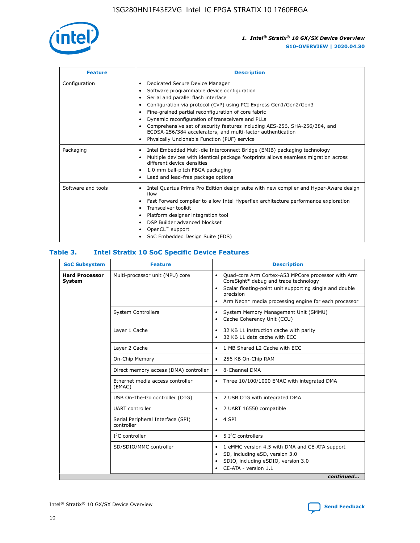

| <b>Feature</b>     | <b>Description</b>                                                                                                                                                                                                                                                                                                                                                                                                                                                                                               |
|--------------------|------------------------------------------------------------------------------------------------------------------------------------------------------------------------------------------------------------------------------------------------------------------------------------------------------------------------------------------------------------------------------------------------------------------------------------------------------------------------------------------------------------------|
| Configuration      | Dedicated Secure Device Manager<br>٠<br>Software programmable device configuration<br>Serial and parallel flash interface<br>٠<br>Configuration via protocol (CvP) using PCI Express Gen1/Gen2/Gen3<br>Fine-grained partial reconfiguration of core fabric<br>Dynamic reconfiguration of transceivers and PLLs<br>٠<br>Comprehensive set of security features including AES-256, SHA-256/384, and<br>ECDSA-256/384 accelerators, and multi-factor authentication<br>Physically Unclonable Function (PUF) service |
| Packaging          | Intel Embedded Multi-die Interconnect Bridge (EMIB) packaging technology<br>٠<br>Multiple devices with identical package footprints allows seamless migration across<br>$\bullet$<br>different device densities<br>1.0 mm ball-pitch FBGA packaging<br>Lead and lead-free package options                                                                                                                                                                                                                        |
| Software and tools | Intel Quartus Prime Pro Edition design suite with new compiler and Hyper-Aware design<br>flow<br>Fast Forward compiler to allow Intel Hyperflex architecture performance exploration<br>٠<br>Transceiver toolkit<br>Platform designer integration tool<br>DSP Builder advanced blockset<br>OpenCL <sup>™</sup> support<br>SoC Embedded Design Suite (EDS)                                                                                                                                                        |

## **Table 3. Intel Stratix 10 SoC Specific Device Features**

| <b>Hard Processor</b><br>Multi-processor unit (MPU) core<br>Quad-core Arm Cortex-A53 MPCore processor with Arm<br>$\bullet$<br>CoreSight* debug and trace technology<br>System<br>Scalar floating-point unit supporting single and double<br>$\bullet$<br>precision<br>Arm Neon* media processing engine for each processor<br>$\bullet$<br><b>System Controllers</b><br>System Memory Management Unit (SMMU)<br>$\bullet$<br>Cache Coherency Unit (CCU)<br>$\bullet$<br>Layer 1 Cache<br>32 KB L1 instruction cache with parity<br>$\bullet$<br>32 KB L1 data cache with ECC<br>$\bullet$<br>1 MB Shared L2 Cache with ECC<br>Layer 2 Cache<br>$\bullet$<br>On-Chip Memory<br>256 KB On-Chip RAM<br>$\bullet$<br>Direct memory access (DMA) controller<br>8-Channel DMA<br>$\bullet$<br>Ethernet media access controller<br>Three 10/100/1000 EMAC with integrated DMA<br>$\bullet$<br>(EMAC)<br>USB On-The-Go controller (OTG)<br>2 USB OTG with integrated DMA<br>$\bullet$<br><b>UART</b> controller<br>2 UART 16550 compatible<br>$\bullet$<br>Serial Peripheral Interface (SPI)<br>4 SPI<br>$\bullet$<br>controller<br>5 I <sup>2</sup> C controllers<br>$I2C$ controller<br>$\bullet$<br>SD/SDIO/MMC controller<br>1 eMMC version 4.5 with DMA and CE-ATA support<br>$\bullet$<br>SD, including eSD, version 3.0<br>$\bullet$<br>SDIO, including eSDIO, version 3.0<br>٠<br>CE-ATA - version 1.1 | <b>SoC Subsystem</b> | <b>Feature</b> | <b>Description</b> |  |  |
|---------------------------------------------------------------------------------------------------------------------------------------------------------------------------------------------------------------------------------------------------------------------------------------------------------------------------------------------------------------------------------------------------------------------------------------------------------------------------------------------------------------------------------------------------------------------------------------------------------------------------------------------------------------------------------------------------------------------------------------------------------------------------------------------------------------------------------------------------------------------------------------------------------------------------------------------------------------------------------------------------------------------------------------------------------------------------------------------------------------------------------------------------------------------------------------------------------------------------------------------------------------------------------------------------------------------------------------------------------------------------------------------------------|----------------------|----------------|--------------------|--|--|
|                                                                                                                                                                                                                                                                                                                                                                                                                                                                                                                                                                                                                                                                                                                                                                                                                                                                                                                                                                                                                                                                                                                                                                                                                                                                                                                                                                                                         |                      |                |                    |  |  |
|                                                                                                                                                                                                                                                                                                                                                                                                                                                                                                                                                                                                                                                                                                                                                                                                                                                                                                                                                                                                                                                                                                                                                                                                                                                                                                                                                                                                         |                      |                |                    |  |  |
|                                                                                                                                                                                                                                                                                                                                                                                                                                                                                                                                                                                                                                                                                                                                                                                                                                                                                                                                                                                                                                                                                                                                                                                                                                                                                                                                                                                                         |                      |                |                    |  |  |
|                                                                                                                                                                                                                                                                                                                                                                                                                                                                                                                                                                                                                                                                                                                                                                                                                                                                                                                                                                                                                                                                                                                                                                                                                                                                                                                                                                                                         |                      |                |                    |  |  |
|                                                                                                                                                                                                                                                                                                                                                                                                                                                                                                                                                                                                                                                                                                                                                                                                                                                                                                                                                                                                                                                                                                                                                                                                                                                                                                                                                                                                         |                      |                |                    |  |  |
|                                                                                                                                                                                                                                                                                                                                                                                                                                                                                                                                                                                                                                                                                                                                                                                                                                                                                                                                                                                                                                                                                                                                                                                                                                                                                                                                                                                                         |                      |                |                    |  |  |
|                                                                                                                                                                                                                                                                                                                                                                                                                                                                                                                                                                                                                                                                                                                                                                                                                                                                                                                                                                                                                                                                                                                                                                                                                                                                                                                                                                                                         |                      |                |                    |  |  |
|                                                                                                                                                                                                                                                                                                                                                                                                                                                                                                                                                                                                                                                                                                                                                                                                                                                                                                                                                                                                                                                                                                                                                                                                                                                                                                                                                                                                         |                      |                |                    |  |  |
|                                                                                                                                                                                                                                                                                                                                                                                                                                                                                                                                                                                                                                                                                                                                                                                                                                                                                                                                                                                                                                                                                                                                                                                                                                                                                                                                                                                                         |                      |                |                    |  |  |
|                                                                                                                                                                                                                                                                                                                                                                                                                                                                                                                                                                                                                                                                                                                                                                                                                                                                                                                                                                                                                                                                                                                                                                                                                                                                                                                                                                                                         |                      |                |                    |  |  |
|                                                                                                                                                                                                                                                                                                                                                                                                                                                                                                                                                                                                                                                                                                                                                                                                                                                                                                                                                                                                                                                                                                                                                                                                                                                                                                                                                                                                         |                      |                |                    |  |  |
| continued                                                                                                                                                                                                                                                                                                                                                                                                                                                                                                                                                                                                                                                                                                                                                                                                                                                                                                                                                                                                                                                                                                                                                                                                                                                                                                                                                                                               |                      |                |                    |  |  |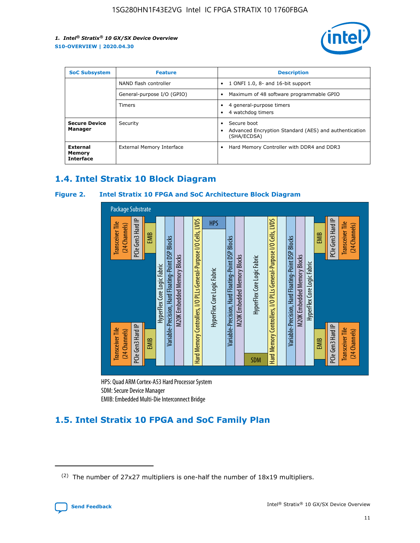

| <b>SoC Subsystem</b>                   | <b>Feature</b>             | <b>Description</b>                                                                               |  |  |
|----------------------------------------|----------------------------|--------------------------------------------------------------------------------------------------|--|--|
|                                        | NAND flash controller      | 1 ONFI 1.0, 8- and 16-bit support<br>$\bullet$                                                   |  |  |
|                                        | General-purpose I/O (GPIO) | Maximum of 48 software programmable GPIO<br>$\bullet$                                            |  |  |
|                                        | <b>Timers</b>              | 4 general-purpose timers<br>4 watchdog timers                                                    |  |  |
| <b>Secure Device</b><br>Manager        | Security                   | Secure boot<br>$\bullet$<br>Advanced Encryption Standard (AES) and authentication<br>(SHA/ECDSA) |  |  |
| External<br>Memory<br><b>Interface</b> | External Memory Interface  | Hard Memory Controller with DDR4 and DDR3<br>$\bullet$                                           |  |  |

## **1.4. Intel Stratix 10 Block Diagram**

## **Figure 2. Intel Stratix 10 FPGA and SoC Architecture Block Diagram**



HPS: Quad ARM Cortex-A53 Hard Processor System SDM: Secure Device Manager

# **1.5. Intel Stratix 10 FPGA and SoC Family Plan**

<sup>(2)</sup> The number of 27x27 multipliers is one-half the number of 18x19 multipliers.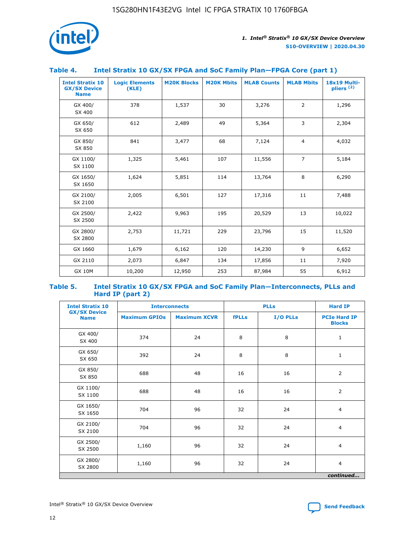

## **Table 4. Intel Stratix 10 GX/SX FPGA and SoC Family Plan—FPGA Core (part 1)**

| <b>Intel Stratix 10</b><br><b>GX/SX Device</b><br><b>Name</b> | <b>Logic Elements</b><br>(KLE) | <b>M20K Blocks</b> | <b>M20K Mbits</b> | <b>MLAB Counts</b> | <b>MLAB Mbits</b> | 18x19 Multi-<br>pliers <sup>(2)</sup> |
|---------------------------------------------------------------|--------------------------------|--------------------|-------------------|--------------------|-------------------|---------------------------------------|
| GX 400/<br>SX 400                                             | 378                            | 1,537              | 30                | 3,276              | 2                 | 1,296                                 |
| GX 650/<br>SX 650                                             | 612                            | 2,489              | 49                | 5,364              | 3                 | 2,304                                 |
| GX 850/<br>SX 850                                             | 841                            | 3,477              | 68                | 7,124              | $\overline{4}$    | 4,032                                 |
| GX 1100/<br>SX 1100                                           | 1,325                          | 5,461              | 107               | 11,556             | $\overline{7}$    | 5,184                                 |
| GX 1650/<br>SX 1650                                           | 1,624                          | 5,851              | 114               | 13,764             | 8                 | 6,290                                 |
| GX 2100/<br>SX 2100                                           | 2,005                          | 6,501              | 127               | 17,316             | 11                | 7,488                                 |
| GX 2500/<br>SX 2500                                           | 2,422                          | 9,963              | 195               | 20,529             | 13                | 10,022                                |
| GX 2800/<br>SX 2800                                           | 2,753                          | 11,721             | 229               | 23,796             | 15                | 11,520                                |
| GX 1660                                                       | 1,679                          | 6,162              | 120               | 14,230             | 9                 | 6,652                                 |
| GX 2110                                                       | 2,073                          | 6,847              | 134               | 17,856             | 11                | 7,920                                 |
| <b>GX 10M</b>                                                 | 10,200                         | 12,950             | 253               | 87,984             | 55                | 6,912                                 |

#### **Table 5. Intel Stratix 10 GX/SX FPGA and SoC Family Plan—Interconnects, PLLs and Hard IP (part 2)**

| <b>Intel Stratix 10</b>            | <b>Interconnects</b> |                     | <b>PLLs</b>  |          | <b>Hard IP</b>                       |  |
|------------------------------------|----------------------|---------------------|--------------|----------|--------------------------------------|--|
| <b>GX/SX Device</b><br><b>Name</b> | <b>Maximum GPIOs</b> | <b>Maximum XCVR</b> | <b>fPLLs</b> | I/O PLLs | <b>PCIe Hard IP</b><br><b>Blocks</b> |  |
| GX 400/<br>SX 400                  | 374                  | 24                  | 8            | 8        | $\mathbf{1}$                         |  |
| GX 650/<br>SX 650                  | 392                  | 24                  | 8            | 8        | $\mathbf{1}$                         |  |
| GX 850/<br>SX 850                  | 688                  | 48                  | 16           | 16       | 2                                    |  |
| GX 1100/<br>SX 1100                | 688                  | 48                  | 16           | 16       | 2                                    |  |
| GX 1650/<br>SX 1650                | 704                  | 96                  | 32           | 24       | $\overline{4}$                       |  |
| GX 2100/<br>SX 2100                | 704                  | 96                  | 32           | 24       | $\overline{4}$                       |  |
| GX 2500/<br>SX 2500                | 1,160                | 96                  | 32           | 24       | $\overline{4}$                       |  |
| GX 2800/<br>SX 2800                | 1,160                | 96                  | 32           | 24       | $\overline{4}$                       |  |
| continued                          |                      |                     |              |          |                                      |  |

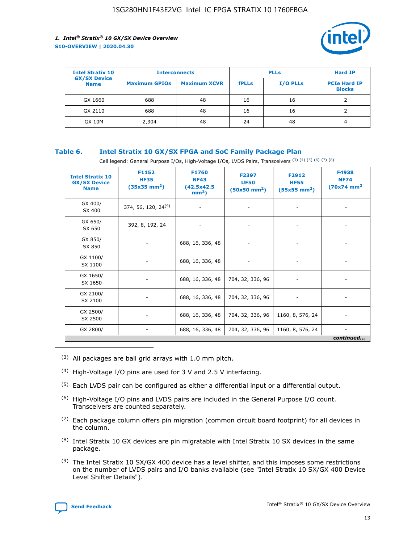

| <b>Intel Stratix 10</b>            | <b>Interconnects</b> |                     | <b>PLLs</b>  |                 | <b>Hard IP</b>                       |
|------------------------------------|----------------------|---------------------|--------------|-----------------|--------------------------------------|
| <b>GX/SX Device</b><br><b>Name</b> | <b>Maximum GPIOs</b> | <b>Maximum XCVR</b> | <b>fPLLs</b> | <b>I/O PLLs</b> | <b>PCIe Hard IP</b><br><b>Blocks</b> |
| GX 1660                            | 688                  | 48                  | 16           | 16              |                                      |
| GX 2110                            | 688                  | 48                  | 16           | 16              |                                      |
| <b>GX 10M</b>                      | 2,304                | 48                  | 24           | 48              | 4                                    |

## **Table 6. Intel Stratix 10 GX/SX FPGA and SoC Family Package Plan**

Cell legend: General Purpose I/Os, High-Voltage I/Os, LVDS Pairs, Transceivers (3) (4) (5) (6) (7) (8)

| <b>Intel Stratix 10</b><br><b>GX/SX Device</b><br><b>Name</b> | F1152<br><b>HF35</b><br>$(35x35 \text{ mm}^2)$ | <b>F1760</b><br><b>NF43</b><br>(42.5x42.5<br>$mm2$ ) | F2397<br><b>UF50</b><br>$(50x50 \text{ mm}^2)$ | F2912<br><b>HF55</b><br>$(55x55 \text{ mm}^2)$ | F4938<br><b>NF74</b><br>$(70x74)$ mm <sup>2</sup> |
|---------------------------------------------------------------|------------------------------------------------|------------------------------------------------------|------------------------------------------------|------------------------------------------------|---------------------------------------------------|
| GX 400/<br>SX 400                                             | 374, 56, 120, 24 <sup>(9)</sup>                | $\overline{\phantom{a}}$                             | $\overline{\phantom{a}}$                       |                                                |                                                   |
| GX 650/<br>SX 650                                             | 392, 8, 192, 24                                | ٠                                                    | $\overline{\phantom{a}}$                       |                                                |                                                   |
| GX 850/<br>SX 850                                             |                                                | 688, 16, 336, 48                                     |                                                |                                                |                                                   |
| GX 1100/<br>SX 1100                                           |                                                | 688, 16, 336, 48                                     |                                                |                                                |                                                   |
| GX 1650/<br>SX 1650                                           |                                                | 688, 16, 336, 48                                     | 704, 32, 336, 96                               |                                                |                                                   |
| GX 2100/<br>SX 2100                                           |                                                | 688, 16, 336, 48                                     | 704, 32, 336, 96                               | -                                              | ۰                                                 |
| GX 2500/<br>SX 2500                                           |                                                | 688, 16, 336, 48                                     | 704, 32, 336, 96                               | 1160, 8, 576, 24                               |                                                   |
| GX 2800/                                                      | $\overline{\phantom{a}}$                       | 688, 16, 336, 48                                     | 704, 32, 336, 96                               | 1160, 8, 576, 24                               | ٠<br>continued                                    |

- (3) All packages are ball grid arrays with 1.0 mm pitch.
- (4) High-Voltage I/O pins are used for 3 V and 2.5 V interfacing.
- $(5)$  Each LVDS pair can be configured as either a differential input or a differential output.
- (6) High-Voltage I/O pins and LVDS pairs are included in the General Purpose I/O count. Transceivers are counted separately.
- $(7)$  Each package column offers pin migration (common circuit board footprint) for all devices in the column.
- $(8)$  Intel Stratix 10 GX devices are pin migratable with Intel Stratix 10 SX devices in the same package.
- $(9)$  The Intel Stratix 10 SX/GX 400 device has a level shifter, and this imposes some restrictions on the number of LVDS pairs and I/O banks available (see "Intel Stratix 10 SX/GX 400 Device Level Shifter Details").

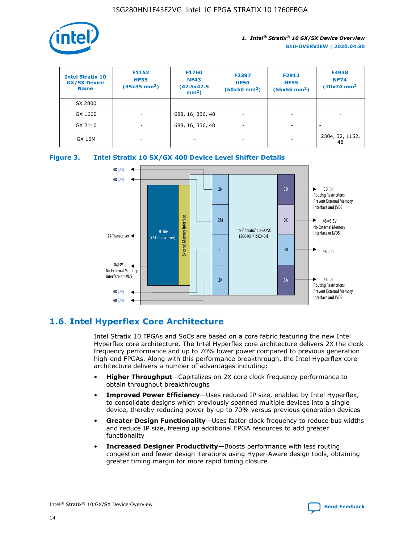

| <b>Intel Stratix 10</b><br><b>GX/SX Device</b><br><b>Name</b> | F1152<br><b>HF35</b><br>$(35x35)$ mm <sup>2</sup> ) | F1760<br><b>NF43</b><br>(42.5x42.5<br>$mm2$ ) | F2397<br><b>UF50</b><br>$(50x50 \text{ mm}^2)$ | F2912<br><b>HF55</b><br>$(55x55$ mm <sup>2</sup> ) | F4938<br><b>NF74</b><br>$(70x74)$ mm <sup>2</sup> |
|---------------------------------------------------------------|-----------------------------------------------------|-----------------------------------------------|------------------------------------------------|----------------------------------------------------|---------------------------------------------------|
| SX 2800                                                       |                                                     |                                               |                                                |                                                    |                                                   |
| GX 1660                                                       | -                                                   | 688, 16, 336, 48                              | $\overline{\phantom{a}}$                       |                                                    |                                                   |
| GX 2110                                                       |                                                     | 688, 16, 336, 48                              | $\overline{\phantom{a}}$                       |                                                    |                                                   |
| <b>GX 10M</b>                                                 | ۰                                                   |                                               |                                                |                                                    | 2304, 32, 1152,<br>48                             |





## **1.6. Intel Hyperflex Core Architecture**

Intel Stratix 10 FPGAs and SoCs are based on a core fabric featuring the new Intel Hyperflex core architecture. The Intel Hyperflex core architecture delivers 2X the clock frequency performance and up to 70% lower power compared to previous generation high-end FPGAs. Along with this performance breakthrough, the Intel Hyperflex core architecture delivers a number of advantages including:

- **Higher Throughput**—Capitalizes on 2X core clock frequency performance to obtain throughput breakthroughs
- **Improved Power Efficiency**—Uses reduced IP size, enabled by Intel Hyperflex, to consolidate designs which previously spanned multiple devices into a single device, thereby reducing power by up to 70% versus previous generation devices
- **Greater Design Functionality**—Uses faster clock frequency to reduce bus widths and reduce IP size, freeing up additional FPGA resources to add greater functionality
- **Increased Designer Productivity**—Boosts performance with less routing congestion and fewer design iterations using Hyper-Aware design tools, obtaining greater timing margin for more rapid timing closure

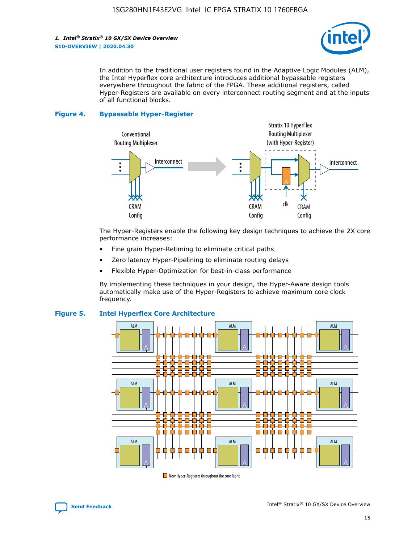

In addition to the traditional user registers found in the Adaptive Logic Modules (ALM), the Intel Hyperflex core architecture introduces additional bypassable registers everywhere throughout the fabric of the FPGA. These additional registers, called Hyper-Registers are available on every interconnect routing segment and at the inputs of all functional blocks.

#### **Figure 4. Bypassable Hyper-Register**



The Hyper-Registers enable the following key design techniques to achieve the 2X core performance increases:

- Fine grain Hyper-Retiming to eliminate critical paths
- Zero latency Hyper-Pipelining to eliminate routing delays
- Flexible Hyper-Optimization for best-in-class performance

By implementing these techniques in your design, the Hyper-Aware design tools automatically make use of the Hyper-Registers to achieve maximum core clock frequency.



## **Figure 5. Intel Hyperflex Core Architecture**

New Hyper-Registers throughout the core fabric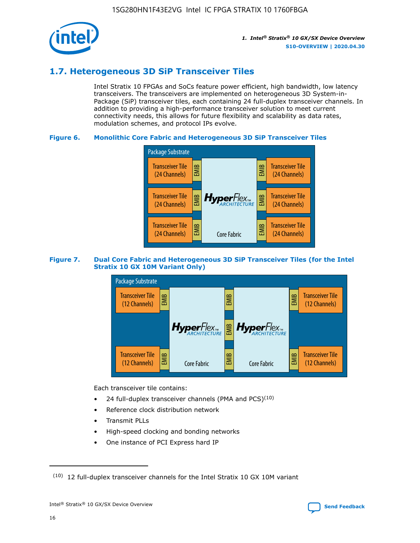

## **1.7. Heterogeneous 3D SiP Transceiver Tiles**

Intel Stratix 10 FPGAs and SoCs feature power efficient, high bandwidth, low latency transceivers. The transceivers are implemented on heterogeneous 3D System-in-Package (SiP) transceiver tiles, each containing 24 full-duplex transceiver channels. In addition to providing a high-performance transceiver solution to meet current connectivity needs, this allows for future flexibility and scalability as data rates, modulation schemes, and protocol IPs evolve.

## **Figure 6. Monolithic Core Fabric and Heterogeneous 3D SiP Transceiver Tiles**



## **Figure 7. Dual Core Fabric and Heterogeneous 3D SiP Transceiver Tiles (for the Intel Stratix 10 GX 10M Variant Only)**



Each transceiver tile contains:

- 24 full-duplex transceiver channels (PMA and PCS) $(10)$
- Reference clock distribution network
- Transmit PLLs
- High-speed clocking and bonding networks
- One instance of PCI Express hard IP



 $(10)$  12 full-duplex transceiver channels for the Intel Stratix 10 GX 10M variant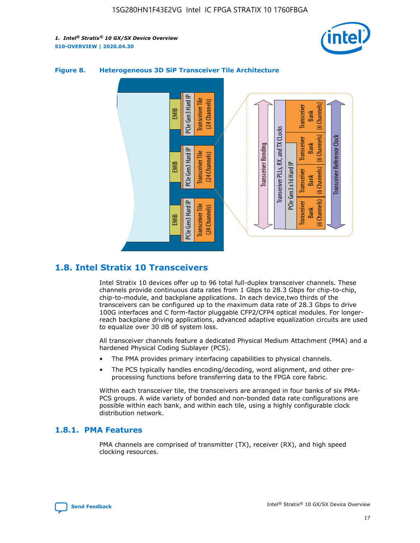



## **Figure 8. Heterogeneous 3D SiP Transceiver Tile Architecture**

## **1.8. Intel Stratix 10 Transceivers**

Intel Stratix 10 devices offer up to 96 total full-duplex transceiver channels. These channels provide continuous data rates from 1 Gbps to 28.3 Gbps for chip-to-chip, chip-to-module, and backplane applications. In each device,two thirds of the transceivers can be configured up to the maximum data rate of 28.3 Gbps to drive 100G interfaces and C form-factor pluggable CFP2/CFP4 optical modules. For longerreach backplane driving applications, advanced adaptive equalization circuits are used to equalize over 30 dB of system loss.

All transceiver channels feature a dedicated Physical Medium Attachment (PMA) and a hardened Physical Coding Sublayer (PCS).

- The PMA provides primary interfacing capabilities to physical channels.
- The PCS typically handles encoding/decoding, word alignment, and other preprocessing functions before transferring data to the FPGA core fabric.

Within each transceiver tile, the transceivers are arranged in four banks of six PMA-PCS groups. A wide variety of bonded and non-bonded data rate configurations are possible within each bank, and within each tile, using a highly configurable clock distribution network.

## **1.8.1. PMA Features**

PMA channels are comprised of transmitter (TX), receiver (RX), and high speed clocking resources.

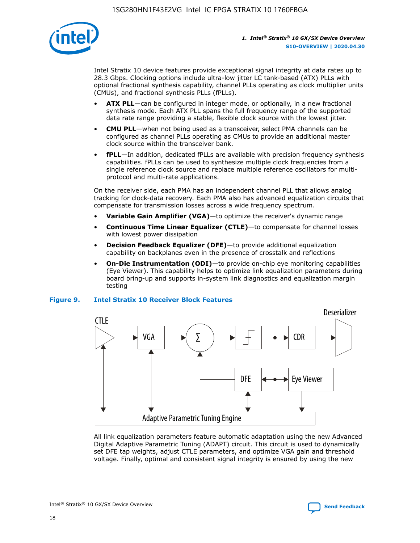

Intel Stratix 10 device features provide exceptional signal integrity at data rates up to 28.3 Gbps. Clocking options include ultra-low jitter LC tank-based (ATX) PLLs with optional fractional synthesis capability, channel PLLs operating as clock multiplier units (CMUs), and fractional synthesis PLLs (fPLLs).

- **ATX PLL**—can be configured in integer mode, or optionally, in a new fractional synthesis mode. Each ATX PLL spans the full frequency range of the supported data rate range providing a stable, flexible clock source with the lowest jitter.
- **CMU PLL**—when not being used as a transceiver, select PMA channels can be configured as channel PLLs operating as CMUs to provide an additional master clock source within the transceiver bank.
- **fPLL**—In addition, dedicated fPLLs are available with precision frequency synthesis capabilities. fPLLs can be used to synthesize multiple clock frequencies from a single reference clock source and replace multiple reference oscillators for multiprotocol and multi-rate applications.

On the receiver side, each PMA has an independent channel PLL that allows analog tracking for clock-data recovery. Each PMA also has advanced equalization circuits that compensate for transmission losses across a wide frequency spectrum.

- **Variable Gain Amplifier (VGA)**—to optimize the receiver's dynamic range
- **Continuous Time Linear Equalizer (CTLE)**—to compensate for channel losses with lowest power dissipation
- **Decision Feedback Equalizer (DFE)**—to provide additional equalization capability on backplanes even in the presence of crosstalk and reflections
- **On-Die Instrumentation (ODI)**—to provide on-chip eye monitoring capabilities (Eye Viewer). This capability helps to optimize link equalization parameters during board bring-up and supports in-system link diagnostics and equalization margin testing

#### **Figure 9. Intel Stratix 10 Receiver Block Features**



All link equalization parameters feature automatic adaptation using the new Advanced Digital Adaptive Parametric Tuning (ADAPT) circuit. This circuit is used to dynamically set DFE tap weights, adjust CTLE parameters, and optimize VGA gain and threshold voltage. Finally, optimal and consistent signal integrity is ensured by using the new



Intel<sup>®</sup> Stratix<sup>®</sup> 10 GX/SX Device Overview **[Send Feedback](mailto:FPGAtechdocfeedback@intel.com?subject=Feedback%20on%20Intel%20Stratix%2010%20GX/SX%20Device%20Overview%20(S10-OVERVIEW%202020.04.30)&body=We%20appreciate%20your%20feedback.%20In%20your%20comments,%20also%20specify%20the%20page%20number%20or%20paragraph.%20Thank%20you.)** Send Feedback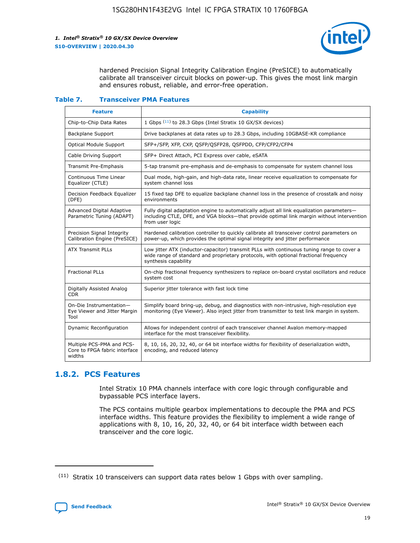

hardened Precision Signal Integrity Calibration Engine (PreSICE) to automatically calibrate all transceiver circuit blocks on power-up. This gives the most link margin and ensures robust, reliable, and error-free operation.

#### **Table 7. Transceiver PMA Features**

| <b>Feature</b>                                                       | <b>Capability</b>                                                                                                                                                                                         |
|----------------------------------------------------------------------|-----------------------------------------------------------------------------------------------------------------------------------------------------------------------------------------------------------|
| Chip-to-Chip Data Rates                                              | 1 Gbps (11) to 28.3 Gbps (Intel Stratix 10 GX/SX devices)                                                                                                                                                 |
| <b>Backplane Support</b>                                             | Drive backplanes at data rates up to 28.3 Gbps, including 10GBASE-KR compliance                                                                                                                           |
| Optical Module Support                                               | SFP+/SFP, XFP, CXP, QSFP/QSFP28, QSFPDD, CFP/CFP2/CFP4                                                                                                                                                    |
| Cable Driving Support                                                | SFP+ Direct Attach, PCI Express over cable, eSATA                                                                                                                                                         |
| <b>Transmit Pre-Emphasis</b>                                         | 5-tap transmit pre-emphasis and de-emphasis to compensate for system channel loss                                                                                                                         |
| Continuous Time Linear<br>Equalizer (CTLE)                           | Dual mode, high-gain, and high-data rate, linear receive equalization to compensate for<br>system channel loss                                                                                            |
| Decision Feedback Equalizer<br>(DFE)                                 | 15 fixed tap DFE to equalize backplane channel loss in the presence of crosstalk and noisy<br>environments                                                                                                |
| Advanced Digital Adaptive<br>Parametric Tuning (ADAPT)               | Fully digital adaptation engine to automatically adjust all link equalization parameters-<br>including CTLE, DFE, and VGA blocks-that provide optimal link margin without intervention<br>from user logic |
| Precision Signal Integrity<br>Calibration Engine (PreSICE)           | Hardened calibration controller to quickly calibrate all transceiver control parameters on<br>power-up, which provides the optimal signal integrity and jitter performance                                |
| <b>ATX Transmit PLLs</b>                                             | Low jitter ATX (inductor-capacitor) transmit PLLs with continuous tuning range to cover a<br>wide range of standard and proprietary protocols, with optional fractional frequency<br>synthesis capability |
| <b>Fractional PLLs</b>                                               | On-chip fractional frequency synthesizers to replace on-board crystal oscillators and reduce<br>system cost                                                                                               |
| Digitally Assisted Analog<br>CDR.                                    | Superior jitter tolerance with fast lock time                                                                                                                                                             |
| On-Die Instrumentation-<br>Eye Viewer and Jitter Margin<br>Tool      | Simplify board bring-up, debug, and diagnostics with non-intrusive, high-resolution eye<br>monitoring (Eye Viewer). Also inject jitter from transmitter to test link margin in system.                    |
| Dynamic Reconfiguration                                              | Allows for independent control of each transceiver channel Avalon memory-mapped<br>interface for the most transceiver flexibility.                                                                        |
| Multiple PCS-PMA and PCS-<br>Core to FPGA fabric interface<br>widths | 8, 10, 16, 20, 32, 40, or 64 bit interface widths for flexibility of deserialization width,<br>encoding, and reduced latency                                                                              |

## **1.8.2. PCS Features**

Intel Stratix 10 PMA channels interface with core logic through configurable and bypassable PCS interface layers.

The PCS contains multiple gearbox implementations to decouple the PMA and PCS interface widths. This feature provides the flexibility to implement a wide range of applications with 8, 10, 16, 20, 32, 40, or 64 bit interface width between each transceiver and the core logic.

 $(11)$  Stratix 10 transceivers can support data rates below 1 Gbps with over sampling.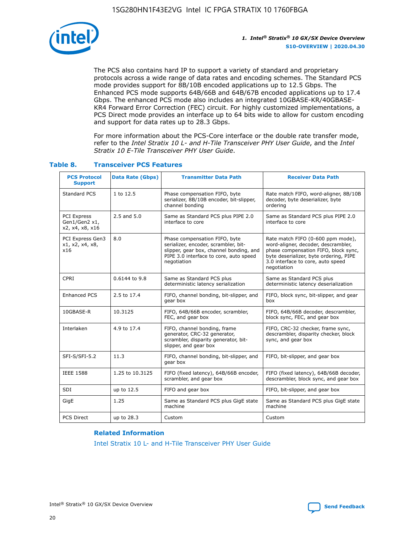

The PCS also contains hard IP to support a variety of standard and proprietary protocols across a wide range of data rates and encoding schemes. The Standard PCS mode provides support for 8B/10B encoded applications up to 12.5 Gbps. The Enhanced PCS mode supports 64B/66B and 64B/67B encoded applications up to 17.4 Gbps. The enhanced PCS mode also includes an integrated 10GBASE-KR/40GBASE-KR4 Forward Error Correction (FEC) circuit. For highly customized implementations, a PCS Direct mode provides an interface up to 64 bits wide to allow for custom encoding and support for data rates up to 28.3 Gbps.

For more information about the PCS-Core interface or the double rate transfer mode, refer to the *Intel Stratix 10 L- and H-Tile Transceiver PHY User Guide*, and the *Intel Stratix 10 E-Tile Transceiver PHY User Guide*.

| <b>PCS Protocol</b><br><b>Support</b>           | <b>Data Rate (Gbps)</b> | <b>Transmitter Data Path</b>                                                                                                                                              | <b>Receiver Data Path</b>                                                                                                                                                                                      |
|-------------------------------------------------|-------------------------|---------------------------------------------------------------------------------------------------------------------------------------------------------------------------|----------------------------------------------------------------------------------------------------------------------------------------------------------------------------------------------------------------|
| Standard PCS                                    | 1 to 12.5               | Phase compensation FIFO, byte<br>serializer, 8B/10B encoder, bit-slipper,<br>channel bonding                                                                              | Rate match FIFO, word-aligner, 8B/10B<br>decoder, byte deserializer, byte<br>ordering                                                                                                                          |
| PCI Express<br>Gen1/Gen2 x1,<br>x2, x4, x8, x16 | $2.5$ and $5.0$         | Same as Standard PCS plus PIPE 2.0<br>interface to core                                                                                                                   | Same as Standard PCS plus PIPE 2.0<br>interface to core                                                                                                                                                        |
| PCI Express Gen3<br>x1, x2, x4, x8,<br>x16      | 8.0                     | Phase compensation FIFO, byte<br>serializer, encoder, scrambler, bit-<br>slipper, gear box, channel bonding, and<br>PIPE 3.0 interface to core, auto speed<br>negotiation | Rate match FIFO (0-600 ppm mode),<br>word-aligner, decoder, descrambler,<br>phase compensation FIFO, block sync,<br>byte deserializer, byte ordering, PIPE<br>3.0 interface to core, auto speed<br>negotiation |
| CPRI                                            | 0.6144 to 9.8           | Same as Standard PCS plus<br>deterministic latency serialization                                                                                                          | Same as Standard PCS plus<br>deterministic latency deserialization                                                                                                                                             |
| <b>Enhanced PCS</b>                             | 2.5 to 17.4             | FIFO, channel bonding, bit-slipper, and<br>gear box                                                                                                                       | FIFO, block sync, bit-slipper, and gear<br>box                                                                                                                                                                 |
| 10GBASE-R                                       | 10.3125                 | FIFO, 64B/66B encoder, scrambler,<br>FEC, and gear box                                                                                                                    | FIFO, 64B/66B decoder, descrambler,<br>block sync, FEC, and gear box                                                                                                                                           |
| Interlaken                                      | 4.9 to 17.4             | FIFO, channel bonding, frame<br>generator, CRC-32 generator,<br>scrambler, disparity generator, bit-<br>slipper, and gear box                                             | FIFO, CRC-32 checker, frame sync,<br>descrambler, disparity checker, block<br>sync, and gear box                                                                                                               |
| SFI-S/SFI-5.2                                   | 11.3                    | FIFO, channel bonding, bit-slipper, and<br>gear box                                                                                                                       | FIFO, bit-slipper, and gear box                                                                                                                                                                                |
| <b>IEEE 1588</b>                                | 1.25 to 10.3125         | FIFO (fixed latency), 64B/66B encoder,<br>scrambler, and gear box                                                                                                         | FIFO (fixed latency), 64B/66B decoder,<br>descrambler, block sync, and gear box                                                                                                                                |
| SDI                                             | up to 12.5              | FIFO and gear box                                                                                                                                                         | FIFO, bit-slipper, and gear box                                                                                                                                                                                |
| GigE                                            | 1.25                    | Same as Standard PCS plus GigE state<br>machine                                                                                                                           | Same as Standard PCS plus GigE state<br>machine                                                                                                                                                                |
| <b>PCS Direct</b>                               | up to 28.3              | Custom                                                                                                                                                                    | Custom                                                                                                                                                                                                         |

## **Table 8. Transceiver PCS Features**

#### **Related Information**

[Intel Stratix 10 L- and H-Tile Transceiver PHY User Guide](https://www.altera.com/documentation/wry1479165198810.html)

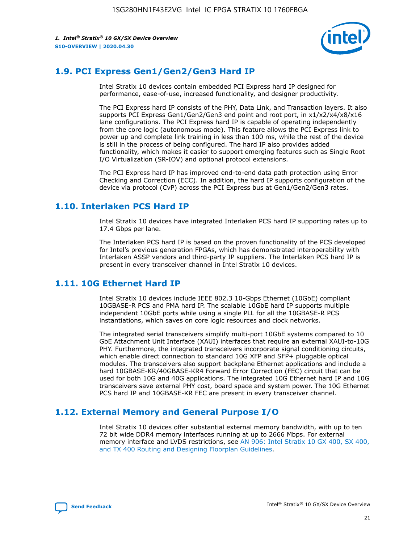

## **1.9. PCI Express Gen1/Gen2/Gen3 Hard IP**

Intel Stratix 10 devices contain embedded PCI Express hard IP designed for performance, ease-of-use, increased functionality, and designer productivity.

The PCI Express hard IP consists of the PHY, Data Link, and Transaction layers. It also supports PCI Express Gen1/Gen2/Gen3 end point and root port, in x1/x2/x4/x8/x16 lane configurations. The PCI Express hard IP is capable of operating independently from the core logic (autonomous mode). This feature allows the PCI Express link to power up and complete link training in less than 100 ms, while the rest of the device is still in the process of being configured. The hard IP also provides added functionality, which makes it easier to support emerging features such as Single Root I/O Virtualization (SR-IOV) and optional protocol extensions.

The PCI Express hard IP has improved end-to-end data path protection using Error Checking and Correction (ECC). In addition, the hard IP supports configuration of the device via protocol (CvP) across the PCI Express bus at Gen1/Gen2/Gen3 rates.

## **1.10. Interlaken PCS Hard IP**

Intel Stratix 10 devices have integrated Interlaken PCS hard IP supporting rates up to 17.4 Gbps per lane.

The Interlaken PCS hard IP is based on the proven functionality of the PCS developed for Intel's previous generation FPGAs, which has demonstrated interoperability with Interlaken ASSP vendors and third-party IP suppliers. The Interlaken PCS hard IP is present in every transceiver channel in Intel Stratix 10 devices.

## **1.11. 10G Ethernet Hard IP**

Intel Stratix 10 devices include IEEE 802.3 10-Gbps Ethernet (10GbE) compliant 10GBASE-R PCS and PMA hard IP. The scalable 10GbE hard IP supports multiple independent 10GbE ports while using a single PLL for all the 10GBASE-R PCS instantiations, which saves on core logic resources and clock networks.

The integrated serial transceivers simplify multi-port 10GbE systems compared to 10 GbE Attachment Unit Interface (XAUI) interfaces that require an external XAUI-to-10G PHY. Furthermore, the integrated transceivers incorporate signal conditioning circuits, which enable direct connection to standard 10G XFP and SFP+ pluggable optical modules. The transceivers also support backplane Ethernet applications and include a hard 10GBASE-KR/40GBASE-KR4 Forward Error Correction (FEC) circuit that can be used for both 10G and 40G applications. The integrated 10G Ethernet hard IP and 10G transceivers save external PHY cost, board space and system power. The 10G Ethernet PCS hard IP and 10GBASE-KR FEC are present in every transceiver channel.

## **1.12. External Memory and General Purpose I/O**

Intel Stratix 10 devices offer substantial external memory bandwidth, with up to ten 72 bit wide DDR4 memory interfaces running at up to 2666 Mbps. For external memory interface and LVDS restrictions, see [AN 906: Intel Stratix 10 GX 400, SX 400,](https://www.intel.com/content/www/us/en/programmable/documentation/sjf1574667190623.html#bft1574667627484) [and TX 400 Routing and Designing Floorplan Guidelines.](https://www.intel.com/content/www/us/en/programmable/documentation/sjf1574667190623.html#bft1574667627484)

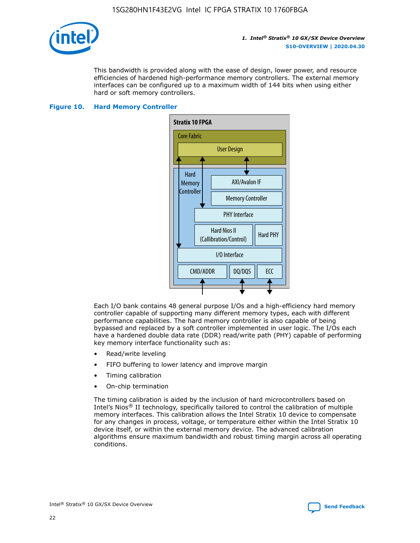

This bandwidth is provided along with the ease of design, lower power, and resource efficiencies of hardened high-performance memory controllers. The external memory interfaces can be configured up to a maximum width of 144 bits when using either hard or soft memory controllers.

#### **Figure 10. Hard Memory Controller**



Each I/O bank contains 48 general purpose I/Os and a high-efficiency hard memory controller capable of supporting many different memory types, each with different performance capabilities. The hard memory controller is also capable of being bypassed and replaced by a soft controller implemented in user logic. The I/Os each have a hardened double data rate (DDR) read/write path (PHY) capable of performing key memory interface functionality such as:

- Read/write leveling
- FIFO buffering to lower latency and improve margin
- Timing calibration
- On-chip termination

The timing calibration is aided by the inclusion of hard microcontrollers based on Intel's Nios® II technology, specifically tailored to control the calibration of multiple memory interfaces. This calibration allows the Intel Stratix 10 device to compensate for any changes in process, voltage, or temperature either within the Intel Stratix 10 device itself, or within the external memory device. The advanced calibration algorithms ensure maximum bandwidth and robust timing margin across all operating conditions.

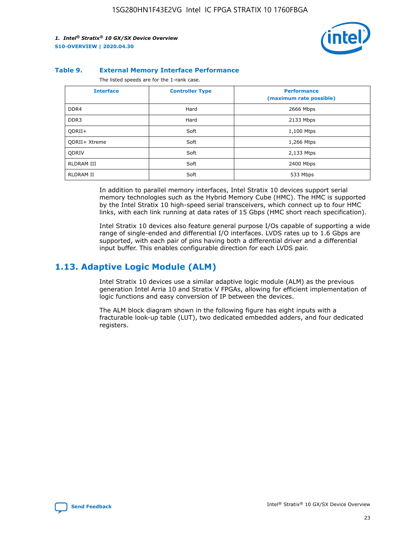

#### **Table 9. External Memory Interface Performance**

The listed speeds are for the 1-rank case.

| <b>Interface</b>     | <b>Controller Type</b> | <b>Performance</b><br>(maximum rate possible) |
|----------------------|------------------------|-----------------------------------------------|
| DDR4                 | Hard                   | 2666 Mbps                                     |
| DDR <sub>3</sub>     | Hard                   | 2133 Mbps                                     |
| QDRII+               | Soft                   | 1,100 Mtps                                    |
| <b>ODRII+ Xtreme</b> | Soft                   | 1,266 Mtps                                    |
| <b>ODRIV</b>         | Soft                   | 2,133 Mtps                                    |
| RLDRAM III           | Soft                   | 2400 Mbps                                     |
| <b>RLDRAM II</b>     | Soft                   | 533 Mbps                                      |

In addition to parallel memory interfaces, Intel Stratix 10 devices support serial memory technologies such as the Hybrid Memory Cube (HMC). The HMC is supported by the Intel Stratix 10 high-speed serial transceivers, which connect up to four HMC links, with each link running at data rates of 15 Gbps (HMC short reach specification).

Intel Stratix 10 devices also feature general purpose I/Os capable of supporting a wide range of single-ended and differential I/O interfaces. LVDS rates up to 1.6 Gbps are supported, with each pair of pins having both a differential driver and a differential input buffer. This enables configurable direction for each LVDS pair.

## **1.13. Adaptive Logic Module (ALM)**

Intel Stratix 10 devices use a similar adaptive logic module (ALM) as the previous generation Intel Arria 10 and Stratix V FPGAs, allowing for efficient implementation of logic functions and easy conversion of IP between the devices.

The ALM block diagram shown in the following figure has eight inputs with a fracturable look-up table (LUT), two dedicated embedded adders, and four dedicated registers.

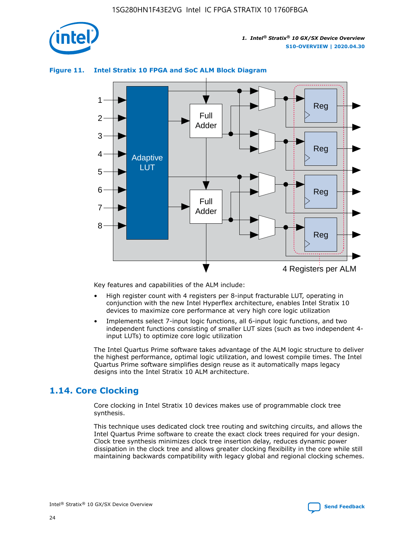

## **Figure 11. Intel Stratix 10 FPGA and SoC ALM Block Diagram**



Key features and capabilities of the ALM include:

- High register count with 4 registers per 8-input fracturable LUT, operating in conjunction with the new Intel Hyperflex architecture, enables Intel Stratix 10 devices to maximize core performance at very high core logic utilization
- Implements select 7-input logic functions, all 6-input logic functions, and two independent functions consisting of smaller LUT sizes (such as two independent 4 input LUTs) to optimize core logic utilization

The Intel Quartus Prime software takes advantage of the ALM logic structure to deliver the highest performance, optimal logic utilization, and lowest compile times. The Intel Quartus Prime software simplifies design reuse as it automatically maps legacy designs into the Intel Stratix 10 ALM architecture.

## **1.14. Core Clocking**

Core clocking in Intel Stratix 10 devices makes use of programmable clock tree synthesis.

This technique uses dedicated clock tree routing and switching circuits, and allows the Intel Quartus Prime software to create the exact clock trees required for your design. Clock tree synthesis minimizes clock tree insertion delay, reduces dynamic power dissipation in the clock tree and allows greater clocking flexibility in the core while still maintaining backwards compatibility with legacy global and regional clocking schemes.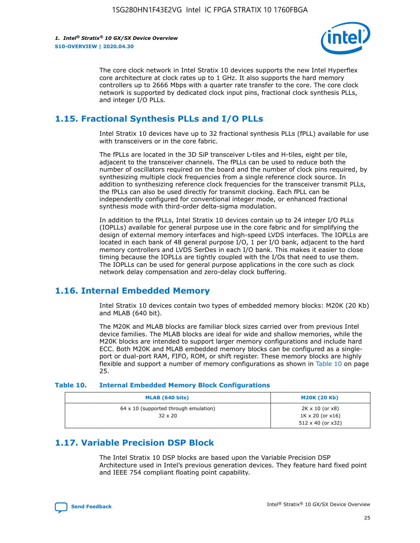

The core clock network in Intel Stratix 10 devices supports the new Intel Hyperflex core architecture at clock rates up to 1 GHz. It also supports the hard memory controllers up to 2666 Mbps with a quarter rate transfer to the core. The core clock network is supported by dedicated clock input pins, fractional clock synthesis PLLs, and integer I/O PLLs.

## **1.15. Fractional Synthesis PLLs and I/O PLLs**

Intel Stratix 10 devices have up to 32 fractional synthesis PLLs (fPLL) available for use with transceivers or in the core fabric.

The fPLLs are located in the 3D SiP transceiver L-tiles and H-tiles, eight per tile, adjacent to the transceiver channels. The fPLLs can be used to reduce both the number of oscillators required on the board and the number of clock pins required, by synthesizing multiple clock frequencies from a single reference clock source. In addition to synthesizing reference clock frequencies for the transceiver transmit PLLs, the fPLLs can also be used directly for transmit clocking. Each fPLL can be independently configured for conventional integer mode, or enhanced fractional synthesis mode with third-order delta-sigma modulation.

In addition to the fPLLs, Intel Stratix 10 devices contain up to 24 integer I/O PLLs (IOPLLs) available for general purpose use in the core fabric and for simplifying the design of external memory interfaces and high-speed LVDS interfaces. The IOPLLs are located in each bank of 48 general purpose I/O, 1 per I/O bank, adjacent to the hard memory controllers and LVDS SerDes in each I/O bank. This makes it easier to close timing because the IOPLLs are tightly coupled with the I/Os that need to use them. The IOPLLs can be used for general purpose applications in the core such as clock network delay compensation and zero-delay clock buffering.

## **1.16. Internal Embedded Memory**

Intel Stratix 10 devices contain two types of embedded memory blocks: M20K (20 Kb) and MLAB (640 bit).

The M20K and MLAB blocks are familiar block sizes carried over from previous Intel device families. The MLAB blocks are ideal for wide and shallow memories, while the M20K blocks are intended to support larger memory configurations and include hard ECC. Both M20K and MLAB embedded memory blocks can be configured as a singleport or dual-port RAM, FIFO, ROM, or shift register. These memory blocks are highly flexible and support a number of memory configurations as shown in Table 10 on page 25.

#### **Table 10. Internal Embedded Memory Block Configurations**

| MLAB (640 bits)                                                | <b>M20K (20 Kb)</b>                                                                    |
|----------------------------------------------------------------|----------------------------------------------------------------------------------------|
| $64 \times 10$ (supported through emulation)<br>$32 \times 20$ | $2K \times 10$ (or $x8$ )<br>$1K \times 20$ (or $x16$ )<br>$512 \times 40$ (or $x32$ ) |

## **1.17. Variable Precision DSP Block**

The Intel Stratix 10 DSP blocks are based upon the Variable Precision DSP Architecture used in Intel's previous generation devices. They feature hard fixed point and IEEE 754 compliant floating point capability.

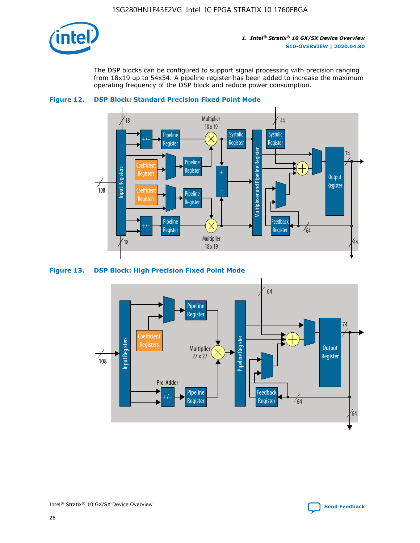

The DSP blocks can be configured to support signal processing with precision ranging from 18x19 up to 54x54. A pipeline register has been added to increase the maximum operating frequency of the DSP block and reduce power consumption.





### **Figure 13. DSP Block: High Precision Fixed Point Mode**



Intel<sup>®</sup> Stratix<sup>®</sup> 10 GX/SX Device Overview **[Send Feedback](mailto:FPGAtechdocfeedback@intel.com?subject=Feedback%20on%20Intel%20Stratix%2010%20GX/SX%20Device%20Overview%20(S10-OVERVIEW%202020.04.30)&body=We%20appreciate%20your%20feedback.%20In%20your%20comments,%20also%20specify%20the%20page%20number%20or%20paragraph.%20Thank%20you.)** Send Feedback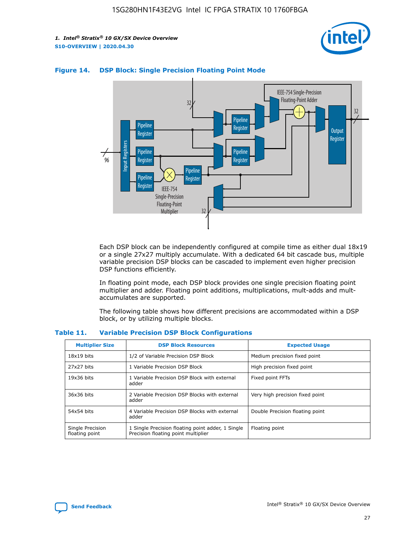



## **Figure 14. DSP Block: Single Precision Floating Point Mode**

Each DSP block can be independently configured at compile time as either dual 18x19 or a single 27x27 multiply accumulate. With a dedicated 64 bit cascade bus, multiple variable precision DSP blocks can be cascaded to implement even higher precision DSP functions efficiently.

In floating point mode, each DSP block provides one single precision floating point multiplier and adder. Floating point additions, multiplications, mult-adds and multaccumulates are supported.

The following table shows how different precisions are accommodated within a DSP block, or by utilizing multiple blocks.

| <b>Multiplier Size</b>             | <b>DSP Block Resources</b>                                                               | <b>Expected Usage</b>           |
|------------------------------------|------------------------------------------------------------------------------------------|---------------------------------|
| $18x19$ bits                       | 1/2 of Variable Precision DSP Block                                                      | Medium precision fixed point    |
| 27x27 bits                         | 1 Variable Precision DSP Block                                                           | High precision fixed point      |
| $19x36$ bits                       | 1 Variable Precision DSP Block with external<br>adder                                    | Fixed point FFTs                |
| 36x36 bits                         | 2 Variable Precision DSP Blocks with external<br>adder                                   | Very high precision fixed point |
| 54x54 bits                         | 4 Variable Precision DSP Blocks with external<br>adder                                   | Double Precision floating point |
| Single Precision<br>floating point | 1 Single Precision floating point adder, 1 Single<br>Precision floating point multiplier | Floating point                  |

#### **Table 11. Variable Precision DSP Block Configurations**

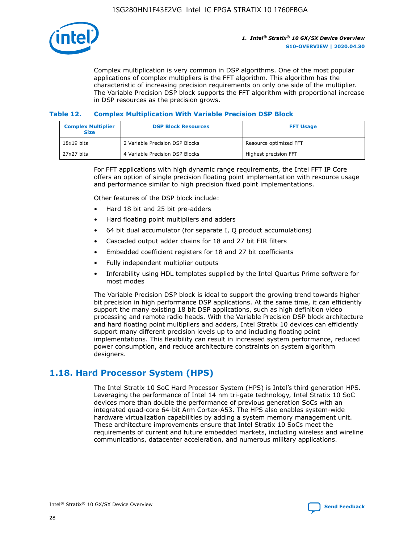

Complex multiplication is very common in DSP algorithms. One of the most popular applications of complex multipliers is the FFT algorithm. This algorithm has the characteristic of increasing precision requirements on only one side of the multiplier. The Variable Precision DSP block supports the FFT algorithm with proportional increase in DSP resources as the precision grows.

### **Table 12. Complex Multiplication With Variable Precision DSP Block**

| <b>Complex Multiplier</b><br><b>Size</b> | <b>DSP Block Resources</b>      | <b>FFT Usage</b>       |
|------------------------------------------|---------------------------------|------------------------|
| $18x19$ bits                             | 2 Variable Precision DSP Blocks | Resource optimized FFT |
| 27x27 bits                               | 4 Variable Precision DSP Blocks | Highest precision FFT  |

For FFT applications with high dynamic range requirements, the Intel FFT IP Core offers an option of single precision floating point implementation with resource usage and performance similar to high precision fixed point implementations.

Other features of the DSP block include:

- Hard 18 bit and 25 bit pre-adders
- Hard floating point multipliers and adders
- 64 bit dual accumulator (for separate I, Q product accumulations)
- Cascaded output adder chains for 18 and 27 bit FIR filters
- Embedded coefficient registers for 18 and 27 bit coefficients
- Fully independent multiplier outputs
- Inferability using HDL templates supplied by the Intel Quartus Prime software for most modes

The Variable Precision DSP block is ideal to support the growing trend towards higher bit precision in high performance DSP applications. At the same time, it can efficiently support the many existing 18 bit DSP applications, such as high definition video processing and remote radio heads. With the Variable Precision DSP block architecture and hard floating point multipliers and adders, Intel Stratix 10 devices can efficiently support many different precision levels up to and including floating point implementations. This flexibility can result in increased system performance, reduced power consumption, and reduce architecture constraints on system algorithm designers.

## **1.18. Hard Processor System (HPS)**

The Intel Stratix 10 SoC Hard Processor System (HPS) is Intel's third generation HPS. Leveraging the performance of Intel 14 nm tri-gate technology, Intel Stratix 10 SoC devices more than double the performance of previous generation SoCs with an integrated quad-core 64-bit Arm Cortex-A53. The HPS also enables system-wide hardware virtualization capabilities by adding a system memory management unit. These architecture improvements ensure that Intel Stratix 10 SoCs meet the requirements of current and future embedded markets, including wireless and wireline communications, datacenter acceleration, and numerous military applications.

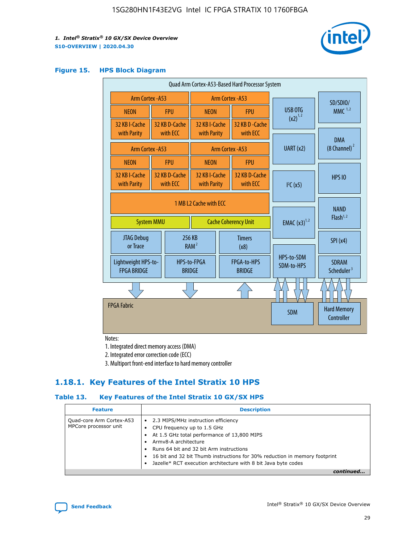

#### **Figure 15. HPS Block Diagram**

| Quad Arm Cortex-A53-Based Hard Processor System                            |  |                           |                                                           |                                     |                             |                                        |                                  |
|----------------------------------------------------------------------------|--|---------------------------|-----------------------------------------------------------|-------------------------------------|-----------------------------|----------------------------------------|----------------------------------|
| <b>Arm Cortex - A53</b>                                                    |  |                           | Arm Cortex - A53                                          |                                     |                             | SD/SDIO/                               |                                  |
| <b>NEON</b>                                                                |  | <b>FPU</b>                | <b>NEON</b>                                               |                                     | <b>FPU</b>                  | USB OTG<br>$(x2)^{1,2}$                | $MMC$ <sup>1,2</sup>             |
| 32 KB I-Cache<br>with Parity                                               |  | 32 KB D-Cache<br>with ECC | 32 KB I-Cache<br>with Parity                              |                                     | 32 KB D - Cache<br>with ECC |                                        |                                  |
|                                                                            |  |                           |                                                           |                                     |                             |                                        | <b>DMA</b>                       |
| <b>Arm Cortex - A53</b>                                                    |  |                           |                                                           |                                     | Arm Cortex - A53            | UART (x2)                              | $(8$ Channel) $^2$               |
| <b>NEON</b>                                                                |  | <b>FPU</b>                | <b>NEON</b>                                               |                                     | <b>FPU</b>                  |                                        |                                  |
| 32 KB I-Cache<br>with Parity                                               |  | 32 KB D-Cache<br>with ECC | 32 KB I-Cache<br>32 KB D-Cache<br>with Parity<br>with ECC |                                     |                             | I <sup>2</sup> C(x5)                   | <b>HPS 10</b>                    |
| 1 MB L2 Cache with ECC<br><b>System MMU</b><br><b>Cache Coherency Unit</b> |  |                           | <b>EMAC</b> $(x3)^{1,2}$                                  | <b>NAND</b><br>Flash <sup>1,2</sup> |                             |                                        |                                  |
| JTAG Debug<br>or Trace                                                     |  | 256 KB                    | <b>Timers</b><br>RAM <sup>2</sup><br>(x8)                 |                                     |                             | SPI(x4)                                |                                  |
| Lightweight HPS-to-<br><b>FPGA BRIDGE</b>                                  |  | <b>BRIDGE</b>             | FPGA-to-HPS<br>HPS-to-FPGA<br><b>BRIDGE</b>               |                                     | HPS-to-SDM<br>SDM-to-HPS    | <b>SDRAM</b><br>Scheduler <sup>3</sup> |                                  |
|                                                                            |  |                           |                                                           |                                     |                             |                                        |                                  |
| <b>FPGA Fabric</b>                                                         |  |                           |                                                           |                                     |                             | <b>SDM</b>                             | <b>Hard Memory</b><br>Controller |

Notes:

1. Integrated direct memory access (DMA)

2. Integrated error correction code (ECC)

3. Multiport front-end interface to hard memory controller

## **1.18.1. Key Features of the Intel Stratix 10 HPS**

## **Table 13. Key Features of the Intel Stratix 10 GX/SX HPS**

| <b>Feature</b>                                    | <b>Description</b>                                                                                                                                                                                                                                                                                                                     |
|---------------------------------------------------|----------------------------------------------------------------------------------------------------------------------------------------------------------------------------------------------------------------------------------------------------------------------------------------------------------------------------------------|
| Quad-core Arm Cortex-A53<br>MPCore processor unit | • 2.3 MIPS/MHz instruction efficiency<br>CPU frequency up to 1.5 GHz<br>At 1.5 GHz total performance of 13,800 MIPS<br>Army8-A architecture<br>Runs 64 bit and 32 bit Arm instructions<br>16 bit and 32 bit Thumb instructions for 30% reduction in memory footprint<br>Jazelle* RCT execution architecture with 8 bit Java byte codes |
|                                                   |                                                                                                                                                                                                                                                                                                                                        |

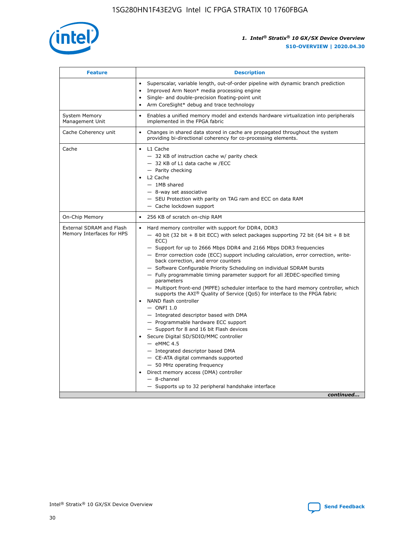

| <b>Feature</b>                                        | <b>Description</b>                                                                                                                                                                                                                                                                                                                                                                                                                                                                                                                                                                                                                                                                                                                                                                                                                                                                                                                                                                                                                                                                                                                                                                                               |
|-------------------------------------------------------|------------------------------------------------------------------------------------------------------------------------------------------------------------------------------------------------------------------------------------------------------------------------------------------------------------------------------------------------------------------------------------------------------------------------------------------------------------------------------------------------------------------------------------------------------------------------------------------------------------------------------------------------------------------------------------------------------------------------------------------------------------------------------------------------------------------------------------------------------------------------------------------------------------------------------------------------------------------------------------------------------------------------------------------------------------------------------------------------------------------------------------------------------------------------------------------------------------------|
|                                                       | Superscalar, variable length, out-of-order pipeline with dynamic branch prediction<br>Improved Arm Neon* media processing engine<br>Single- and double-precision floating-point unit<br>Arm CoreSight* debug and trace technology<br>٠                                                                                                                                                                                                                                                                                                                                                                                                                                                                                                                                                                                                                                                                                                                                                                                                                                                                                                                                                                           |
| <b>System Memory</b><br>Management Unit               | Enables a unified memory model and extends hardware virtualization into peripherals<br>implemented in the FPGA fabric                                                                                                                                                                                                                                                                                                                                                                                                                                                                                                                                                                                                                                                                                                                                                                                                                                                                                                                                                                                                                                                                                            |
| Cache Coherency unit                                  | Changes in shared data stored in cache are propagated throughout the system<br>$\bullet$<br>providing bi-directional coherency for co-processing elements.                                                                                                                                                                                                                                                                                                                                                                                                                                                                                                                                                                                                                                                                                                                                                                                                                                                                                                                                                                                                                                                       |
| Cache                                                 | L1 Cache<br>$\bullet$<br>- 32 KB of instruction cache w/ parity check<br>- 32 KB of L1 data cache w /ECC<br>- Parity checking<br>L <sub>2</sub> Cache<br>$-$ 1MB shared<br>$-$ 8-way set associative<br>- SEU Protection with parity on TAG ram and ECC on data RAM<br>- Cache lockdown support                                                                                                                                                                                                                                                                                                                                                                                                                                                                                                                                                                                                                                                                                                                                                                                                                                                                                                                  |
| On-Chip Memory                                        | 256 KB of scratch on-chip RAM                                                                                                                                                                                                                                                                                                                                                                                                                                                                                                                                                                                                                                                                                                                                                                                                                                                                                                                                                                                                                                                                                                                                                                                    |
| External SDRAM and Flash<br>Memory Interfaces for HPS | Hard memory controller with support for DDR4, DDR3<br>$\bullet$<br>$-$ 40 bit (32 bit + 8 bit ECC) with select packages supporting 72 bit (64 bit + 8 bit<br>ECC)<br>- Support for up to 2666 Mbps DDR4 and 2166 Mbps DDR3 frequencies<br>- Error correction code (ECC) support including calculation, error correction, write-<br>back correction, and error counters<br>- Software Configurable Priority Scheduling on individual SDRAM bursts<br>- Fully programmable timing parameter support for all JEDEC-specified timing<br>parameters<br>- Multiport front-end (MPFE) scheduler interface to the hard memory controller, which<br>supports the $AXI^{\circledR}$ Quality of Service (QoS) for interface to the FPGA fabric<br>NAND flash controller<br>$-$ ONFI 1.0<br>- Integrated descriptor based with DMA<br>- Programmable hardware ECC support<br>- Support for 8 and 16 bit Flash devices<br>Secure Digital SD/SDIO/MMC controller<br>$-$ eMMC 4.5<br>- Integrated descriptor based DMA<br>- CE-ATA digital commands supported<br>- 50 MHz operating frequency<br>Direct memory access (DMA) controller<br>٠<br>$-$ 8-channel<br>- Supports up to 32 peripheral handshake interface<br>continued |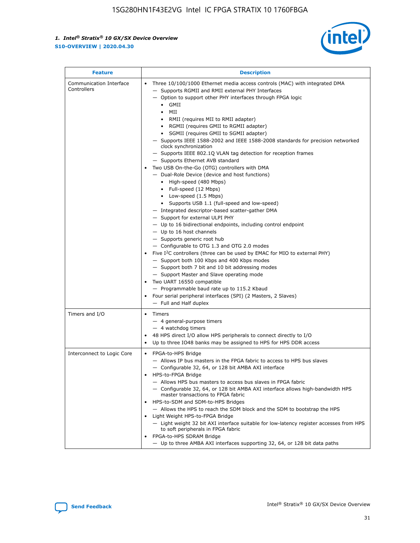

| <b>Feature</b>                         | <b>Description</b>                                                                                                                                                                                                                                                                                                                                                                                                                                                                                                                                                                                                                                                                                                                                                                                                                                                                                                                                                                                                                                                                                                                                                                                                                                                                                                                                                                                                                                                                                                     |
|----------------------------------------|------------------------------------------------------------------------------------------------------------------------------------------------------------------------------------------------------------------------------------------------------------------------------------------------------------------------------------------------------------------------------------------------------------------------------------------------------------------------------------------------------------------------------------------------------------------------------------------------------------------------------------------------------------------------------------------------------------------------------------------------------------------------------------------------------------------------------------------------------------------------------------------------------------------------------------------------------------------------------------------------------------------------------------------------------------------------------------------------------------------------------------------------------------------------------------------------------------------------------------------------------------------------------------------------------------------------------------------------------------------------------------------------------------------------------------------------------------------------------------------------------------------------|
| Communication Interface<br>Controllers | Three 10/100/1000 Ethernet media access controls (MAC) with integrated DMA<br>$\bullet$<br>- Supports RGMII and RMII external PHY Interfaces<br>- Option to support other PHY interfaces through FPGA logic<br>$\bullet$ GMII<br>MII<br>$\bullet$<br>RMII (requires MII to RMII adapter)<br>$\bullet$<br>• RGMII (requires GMII to RGMII adapter)<br>SGMII (requires GMII to SGMII adapter)<br>- Supports IEEE 1588-2002 and IEEE 1588-2008 standards for precision networked<br>clock synchronization<br>- Supports IEEE 802.1Q VLAN tag detection for reception frames<br>- Supports Ethernet AVB standard<br>Two USB On-the-Go (OTG) controllers with DMA<br>- Dual-Role Device (device and host functions)<br>• High-speed (480 Mbps)<br>• Full-speed (12 Mbps)<br>• Low-speed (1.5 Mbps)<br>• Supports USB 1.1 (full-speed and low-speed)<br>- Integrated descriptor-based scatter-gather DMA<br>- Support for external ULPI PHY<br>- Up to 16 bidirectional endpoints, including control endpoint<br>$-$ Up to 16 host channels<br>- Supports generic root hub<br>- Configurable to OTG 1.3 and OTG 2.0 modes<br>Five $I2C$ controllers (three can be used by EMAC for MIO to external PHY)<br>- Support both 100 Kbps and 400 Kbps modes<br>- Support both 7 bit and 10 bit addressing modes<br>- Support Master and Slave operating mode<br>Two UART 16550 compatible<br>- Programmable baud rate up to 115.2 Kbaud<br>Four serial peripheral interfaces (SPI) (2 Masters, 2 Slaves)<br>- Full and Half duplex |
| Timers and I/O                         | Timers<br>$\bullet$<br>- 4 general-purpose timers<br>$-4$ watchdog timers<br>48 HPS direct I/O allow HPS peripherals to connect directly to I/O<br>Up to three IO48 banks may be assigned to HPS for HPS DDR access                                                                                                                                                                                                                                                                                                                                                                                                                                                                                                                                                                                                                                                                                                                                                                                                                                                                                                                                                                                                                                                                                                                                                                                                                                                                                                    |
| Interconnect to Logic Core             | • FPGA-to-HPS Bridge<br>- Allows IP bus masters in the FPGA fabric to access to HPS bus slaves<br>- Configurable 32, 64, or 128 bit AMBA AXI interface<br>HPS-to-FPGA Bridge<br>- Allows HPS bus masters to access bus slaves in FPGA fabric<br>- Configurable 32, 64, or 128 bit AMBA AXI interface allows high-bandwidth HPS<br>master transactions to FPGA fabric<br>HPS-to-SDM and SDM-to-HPS Bridges<br>- Allows the HPS to reach the SDM block and the SDM to bootstrap the HPS<br>Light Weight HPS-to-FPGA Bridge<br>- Light weight 32 bit AXI interface suitable for low-latency register accesses from HPS<br>to soft peripherals in FPGA fabric<br>FPGA-to-HPS SDRAM Bridge<br>- Up to three AMBA AXI interfaces supporting 32, 64, or 128 bit data paths                                                                                                                                                                                                                                                                                                                                                                                                                                                                                                                                                                                                                                                                                                                                                    |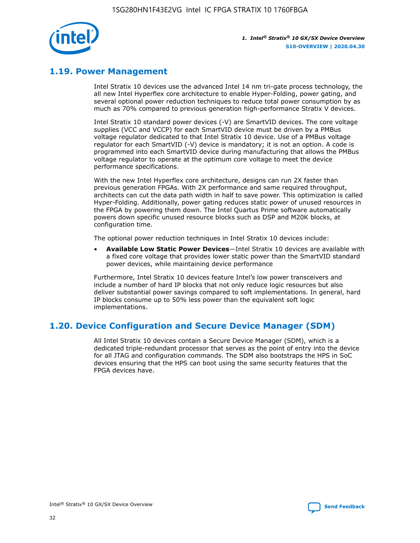

## **1.19. Power Management**

Intel Stratix 10 devices use the advanced Intel 14 nm tri-gate process technology, the all new Intel Hyperflex core architecture to enable Hyper-Folding, power gating, and several optional power reduction techniques to reduce total power consumption by as much as 70% compared to previous generation high-performance Stratix V devices.

Intel Stratix 10 standard power devices (-V) are SmartVID devices. The core voltage supplies (VCC and VCCP) for each SmartVID device must be driven by a PMBus voltage regulator dedicated to that Intel Stratix 10 device. Use of a PMBus voltage regulator for each SmartVID (-V) device is mandatory; it is not an option. A code is programmed into each SmartVID device during manufacturing that allows the PMBus voltage regulator to operate at the optimum core voltage to meet the device performance specifications.

With the new Intel Hyperflex core architecture, designs can run 2X faster than previous generation FPGAs. With 2X performance and same required throughput, architects can cut the data path width in half to save power. This optimization is called Hyper-Folding. Additionally, power gating reduces static power of unused resources in the FPGA by powering them down. The Intel Quartus Prime software automatically powers down specific unused resource blocks such as DSP and M20K blocks, at configuration time.

The optional power reduction techniques in Intel Stratix 10 devices include:

• **Available Low Static Power Devices**—Intel Stratix 10 devices are available with a fixed core voltage that provides lower static power than the SmartVID standard power devices, while maintaining device performance

Furthermore, Intel Stratix 10 devices feature Intel's low power transceivers and include a number of hard IP blocks that not only reduce logic resources but also deliver substantial power savings compared to soft implementations. In general, hard IP blocks consume up to 50% less power than the equivalent soft logic implementations.

## **1.20. Device Configuration and Secure Device Manager (SDM)**

All Intel Stratix 10 devices contain a Secure Device Manager (SDM), which is a dedicated triple-redundant processor that serves as the point of entry into the device for all JTAG and configuration commands. The SDM also bootstraps the HPS in SoC devices ensuring that the HPS can boot using the same security features that the FPGA devices have.

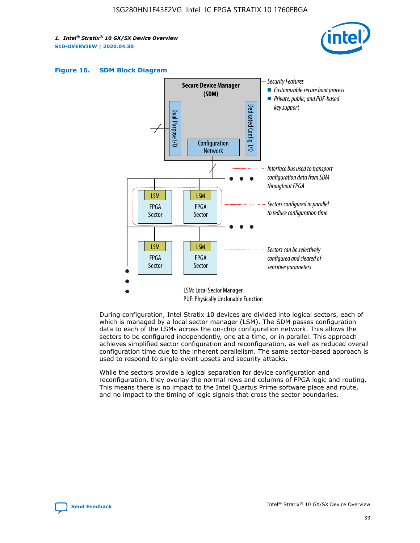





During configuration, Intel Stratix 10 devices are divided into logical sectors, each of which is managed by a local sector manager (LSM). The SDM passes configuration data to each of the LSMs across the on-chip configuration network. This allows the sectors to be configured independently, one at a time, or in parallel. This approach achieves simplified sector configuration and reconfiguration, as well as reduced overall configuration time due to the inherent parallelism. The same sector-based approach is used to respond to single-event upsets and security attacks.

While the sectors provide a logical separation for device configuration and reconfiguration, they overlay the normal rows and columns of FPGA logic and routing. This means there is no impact to the Intel Quartus Prime software place and route, and no impact to the timing of logic signals that cross the sector boundaries.

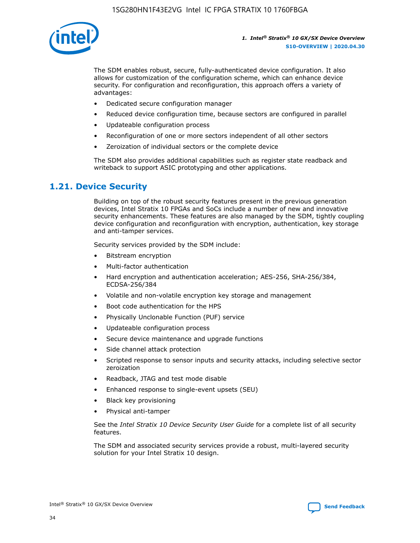

The SDM enables robust, secure, fully-authenticated device configuration. It also allows for customization of the configuration scheme, which can enhance device security. For configuration and reconfiguration, this approach offers a variety of advantages:

- Dedicated secure configuration manager
- Reduced device configuration time, because sectors are configured in parallel
- Updateable configuration process
- Reconfiguration of one or more sectors independent of all other sectors
- Zeroization of individual sectors or the complete device

The SDM also provides additional capabilities such as register state readback and writeback to support ASIC prototyping and other applications.

## **1.21. Device Security**

Building on top of the robust security features present in the previous generation devices, Intel Stratix 10 FPGAs and SoCs include a number of new and innovative security enhancements. These features are also managed by the SDM, tightly coupling device configuration and reconfiguration with encryption, authentication, key storage and anti-tamper services.

Security services provided by the SDM include:

- Bitstream encryption
- Multi-factor authentication
- Hard encryption and authentication acceleration; AES-256, SHA-256/384, ECDSA-256/384
- Volatile and non-volatile encryption key storage and management
- Boot code authentication for the HPS
- Physically Unclonable Function (PUF) service
- Updateable configuration process
- Secure device maintenance and upgrade functions
- Side channel attack protection
- Scripted response to sensor inputs and security attacks, including selective sector zeroization
- Readback, JTAG and test mode disable
- Enhanced response to single-event upsets (SEU)
- Black key provisioning
- Physical anti-tamper

See the *Intel Stratix 10 Device Security User Guide* for a complete list of all security features.

The SDM and associated security services provide a robust, multi-layered security solution for your Intel Stratix 10 design.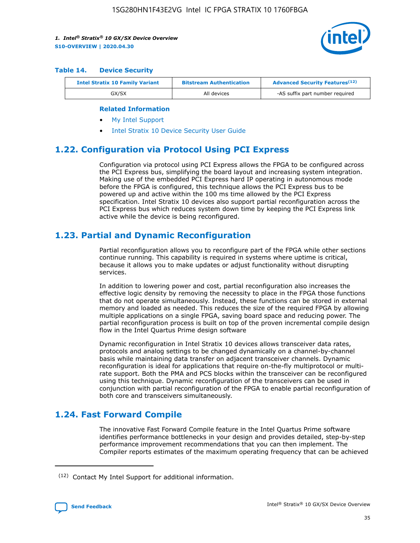

#### **Table 14. Device Security**

| <b>Intel Stratix 10 Family Variant</b> | <b>Bitstream Authentication</b> | <b>Advanced Security Features</b> <sup>(12)</sup> |
|----------------------------------------|---------------------------------|---------------------------------------------------|
| GX/SX                                  | All devices                     | -AS suffix part number required                   |

#### **Related Information**

- [My Intel Support](https://www.intel.com/content/www/us/en/programmable/my-intel/mal-home.html)
- [Intel Stratix 10 Device Security User Guide](https://www.intel.com/content/www/us/en/programmable/documentation/ndq1483601370898.html#wcd1483611014402)

## **1.22. Configuration via Protocol Using PCI Express**

Configuration via protocol using PCI Express allows the FPGA to be configured across the PCI Express bus, simplifying the board layout and increasing system integration. Making use of the embedded PCI Express hard IP operating in autonomous mode before the FPGA is configured, this technique allows the PCI Express bus to be powered up and active within the 100 ms time allowed by the PCI Express specification. Intel Stratix 10 devices also support partial reconfiguration across the PCI Express bus which reduces system down time by keeping the PCI Express link active while the device is being reconfigured.

## **1.23. Partial and Dynamic Reconfiguration**

Partial reconfiguration allows you to reconfigure part of the FPGA while other sections continue running. This capability is required in systems where uptime is critical, because it allows you to make updates or adjust functionality without disrupting services.

In addition to lowering power and cost, partial reconfiguration also increases the effective logic density by removing the necessity to place in the FPGA those functions that do not operate simultaneously. Instead, these functions can be stored in external memory and loaded as needed. This reduces the size of the required FPGA by allowing multiple applications on a single FPGA, saving board space and reducing power. The partial reconfiguration process is built on top of the proven incremental compile design flow in the Intel Quartus Prime design software

Dynamic reconfiguration in Intel Stratix 10 devices allows transceiver data rates, protocols and analog settings to be changed dynamically on a channel-by-channel basis while maintaining data transfer on adjacent transceiver channels. Dynamic reconfiguration is ideal for applications that require on-the-fly multiprotocol or multirate support. Both the PMA and PCS blocks within the transceiver can be reconfigured using this technique. Dynamic reconfiguration of the transceivers can be used in conjunction with partial reconfiguration of the FPGA to enable partial reconfiguration of both core and transceivers simultaneously.

## **1.24. Fast Forward Compile**

The innovative Fast Forward Compile feature in the Intel Quartus Prime software identifies performance bottlenecks in your design and provides detailed, step-by-step performance improvement recommendations that you can then implement. The Compiler reports estimates of the maximum operating frequency that can be achieved

<sup>(12)</sup> Contact My Intel Support for additional information.

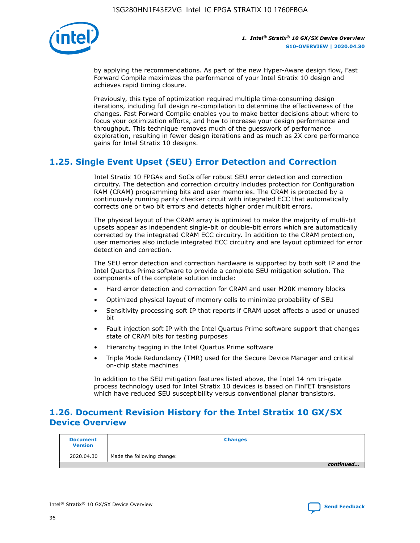

by applying the recommendations. As part of the new Hyper-Aware design flow, Fast Forward Compile maximizes the performance of your Intel Stratix 10 design and achieves rapid timing closure.

Previously, this type of optimization required multiple time-consuming design iterations, including full design re-compilation to determine the effectiveness of the changes. Fast Forward Compile enables you to make better decisions about where to focus your optimization efforts, and how to increase your design performance and throughput. This technique removes much of the guesswork of performance exploration, resulting in fewer design iterations and as much as 2X core performance gains for Intel Stratix 10 designs.

## **1.25. Single Event Upset (SEU) Error Detection and Correction**

Intel Stratix 10 FPGAs and SoCs offer robust SEU error detection and correction circuitry. The detection and correction circuitry includes protection for Configuration RAM (CRAM) programming bits and user memories. The CRAM is protected by a continuously running parity checker circuit with integrated ECC that automatically corrects one or two bit errors and detects higher order multibit errors.

The physical layout of the CRAM array is optimized to make the majority of multi-bit upsets appear as independent single-bit or double-bit errors which are automatically corrected by the integrated CRAM ECC circuitry. In addition to the CRAM protection, user memories also include integrated ECC circuitry and are layout optimized for error detection and correction.

The SEU error detection and correction hardware is supported by both soft IP and the Intel Quartus Prime software to provide a complete SEU mitigation solution. The components of the complete solution include:

- Hard error detection and correction for CRAM and user M20K memory blocks
- Optimized physical layout of memory cells to minimize probability of SEU
- Sensitivity processing soft IP that reports if CRAM upset affects a used or unused bit
- Fault injection soft IP with the Intel Quartus Prime software support that changes state of CRAM bits for testing purposes
- Hierarchy tagging in the Intel Quartus Prime software
- Triple Mode Redundancy (TMR) used for the Secure Device Manager and critical on-chip state machines

In addition to the SEU mitigation features listed above, the Intel 14 nm tri-gate process technology used for Intel Stratix 10 devices is based on FinFET transistors which have reduced SEU susceptibility versus conventional planar transistors.

## **1.26. Document Revision History for the Intel Stratix 10 GX/SX Device Overview**

| <b>Document</b><br><b>Version</b> | <b>Changes</b>             |
|-----------------------------------|----------------------------|
| 2020.04.30                        | Made the following change: |
|                                   | continued                  |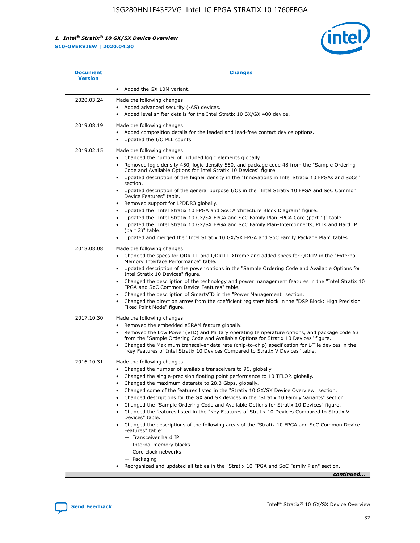

| <b>Document</b><br><b>Version</b> | <b>Changes</b>                                                                                                                                                                                                                                                                                                                                                                                                                                                                                                                                                                                                                                                                                                                                                                                                                                                                                                                                                                                              |
|-----------------------------------|-------------------------------------------------------------------------------------------------------------------------------------------------------------------------------------------------------------------------------------------------------------------------------------------------------------------------------------------------------------------------------------------------------------------------------------------------------------------------------------------------------------------------------------------------------------------------------------------------------------------------------------------------------------------------------------------------------------------------------------------------------------------------------------------------------------------------------------------------------------------------------------------------------------------------------------------------------------------------------------------------------------|
|                                   | Added the GX 10M variant.                                                                                                                                                                                                                                                                                                                                                                                                                                                                                                                                                                                                                                                                                                                                                                                                                                                                                                                                                                                   |
| 2020.03.24                        | Made the following changes:<br>Added advanced security (-AS) devices.<br>Added level shifter details for the Intel Stratix 10 SX/GX 400 device.                                                                                                                                                                                                                                                                                                                                                                                                                                                                                                                                                                                                                                                                                                                                                                                                                                                             |
| 2019.08.19                        | Made the following changes:<br>Added composition details for the leaded and lead-free contact device options.<br>$\bullet$<br>Updated the I/O PLL counts.                                                                                                                                                                                                                                                                                                                                                                                                                                                                                                                                                                                                                                                                                                                                                                                                                                                   |
| 2019.02.15                        | Made the following changes:<br>Changed the number of included logic elements globally.<br>$\bullet$<br>Removed logic density 450, logic density 550, and package code 48 from the "Sample Ordering<br>$\bullet$<br>Code and Available Options for Intel Stratix 10 Devices" figure.<br>Updated description of the higher density in the "Innovations in Intel Stratix 10 FPGAs and SoCs"<br>section.<br>Updated description of the general purpose I/Os in the "Intel Stratix 10 FPGA and SoC Common<br>$\bullet$<br>Device Features" table.<br>Removed support for LPDDR3 globally.<br>Updated the "Intel Stratix 10 FPGA and SoC Architecture Block Diagram" figure.<br>$\bullet$<br>Updated the "Intel Stratix 10 GX/SX FPGA and SoC Family Plan-FPGA Core (part 1)" table.<br>$\bullet$<br>Updated the "Intel Stratix 10 GX/SX FPGA and SoC Family Plan-Interconnects, PLLs and Hard IP<br>(part 2)" table.<br>Updated and merged the "Intel Stratix 10 GX/SX FPGA and SoC Family Package Plan" tables. |
| 2018.08.08                        | Made the following changes:<br>Changed the specs for QDRII+ and QDRII+ Xtreme and added specs for QDRIV in the "External<br>$\bullet$<br>Memory Interface Performance" table.<br>Updated description of the power options in the "Sample Ordering Code and Available Options for<br>Intel Stratix 10 Devices" figure.<br>Changed the description of the technology and power management features in the "Intel Stratix 10<br>FPGA and SoC Common Device Features" table.<br>Changed the description of SmartVID in the "Power Management" section.<br>Changed the direction arrow from the coefficient registers block in the "DSP Block: High Precision<br>$\bullet$<br>Fixed Point Mode" figure.                                                                                                                                                                                                                                                                                                          |
| 2017.10.30                        | Made the following changes:<br>Removed the embedded eSRAM feature globally.<br>$\bullet$<br>Removed the Low Power (VID) and Military operating temperature options, and package code 53<br>$\bullet$<br>from the "Sample Ordering Code and Available Options for Stratix 10 Devices" figure.<br>Changed the Maximum transceiver data rate (chip-to-chip) specification for L-Tile devices in the<br>"Key Features of Intel Stratix 10 Devices Compared to Stratix V Devices" table.                                                                                                                                                                                                                                                                                                                                                                                                                                                                                                                         |
| 2016.10.31                        | Made the following changes:<br>• Changed the number of available transceivers to 96, globally.<br>Changed the single-precision floating point performance to 10 TFLOP, globally.<br>Changed the maximum datarate to 28.3 Gbps, globally.<br>٠<br>Changed some of the features listed in the "Stratix 10 GX/SX Device Overview" section.<br>$\bullet$<br>Changed descriptions for the GX and SX devices in the "Stratix 10 Family Variants" section.<br>$\bullet$<br>Changed the "Sample Ordering Code and Available Options for Stratix 10 Devices" figure.<br>Changed the features listed in the "Key Features of Stratix 10 Devices Compared to Stratix V<br>Devices" table.<br>Changed the descriptions of the following areas of the "Stratix 10 FPGA and SoC Common Device<br>Features" table:<br>- Transceiver hard IP<br>- Internal memory blocks<br>- Core clock networks<br>- Packaging<br>Reorganized and updated all tables in the "Stratix 10 FPGA and SoC Family Plan" section.                |
|                                   | continued                                                                                                                                                                                                                                                                                                                                                                                                                                                                                                                                                                                                                                                                                                                                                                                                                                                                                                                                                                                                   |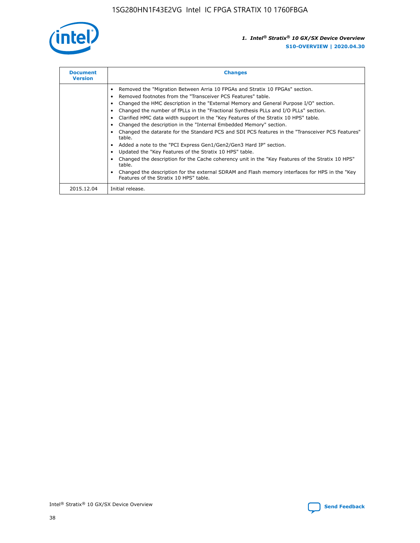

| <b>Document</b><br><b>Version</b> | <b>Changes</b>                                                                                                                                                                                                                                                                                                                                                                                                                                                                                                                                                                                                                                                                                                                                                                                                                                                                                                                                                                                     |  |
|-----------------------------------|----------------------------------------------------------------------------------------------------------------------------------------------------------------------------------------------------------------------------------------------------------------------------------------------------------------------------------------------------------------------------------------------------------------------------------------------------------------------------------------------------------------------------------------------------------------------------------------------------------------------------------------------------------------------------------------------------------------------------------------------------------------------------------------------------------------------------------------------------------------------------------------------------------------------------------------------------------------------------------------------------|--|
|                                   | Removed the "Migration Between Arria 10 FPGAs and Stratix 10 FPGAs" section.<br>Removed footnotes from the "Transceiver PCS Features" table.<br>Changed the HMC description in the "External Memory and General Purpose I/O" section.<br>Changed the number of fPLLs in the "Fractional Synthesis PLLs and I/O PLLs" section.<br>Clarified HMC data width support in the "Key Features of the Stratix 10 HPS" table.<br>Changed the description in the "Internal Embedded Memory" section.<br>Changed the datarate for the Standard PCS and SDI PCS features in the "Transceiver PCS Features"<br>table.<br>Added a note to the "PCI Express Gen1/Gen2/Gen3 Hard IP" section.<br>Updated the "Key Features of the Stratix 10 HPS" table.<br>Changed the description for the Cache coherency unit in the "Key Features of the Stratix 10 HPS"<br>table.<br>Changed the description for the external SDRAM and Flash memory interfaces for HPS in the "Key<br>Features of the Stratix 10 HPS" table. |  |
| 2015.12.04                        | Initial release.                                                                                                                                                                                                                                                                                                                                                                                                                                                                                                                                                                                                                                                                                                                                                                                                                                                                                                                                                                                   |  |